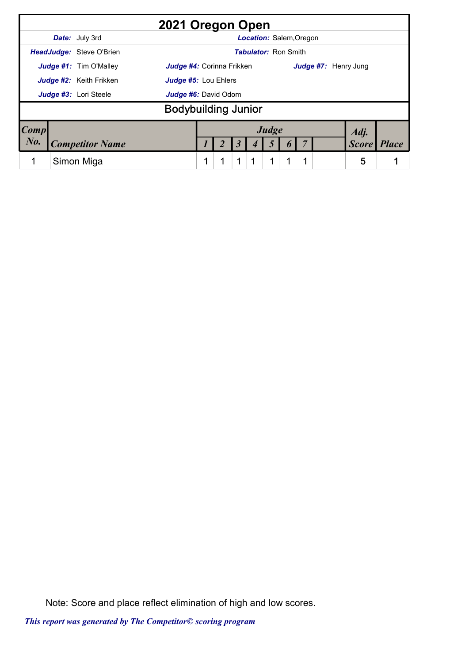|                                                 |  |                                 | 2021 Oregon Open                 |   |  |   |  |                                |  |   |                      |              |              |
|-------------------------------------------------|--|---------------------------------|----------------------------------|---|--|---|--|--------------------------------|--|---|----------------------|--------------|--------------|
|                                                 |  | <b>Date:</b> July 3rd           |                                  |   |  |   |  | <b>Location: Salem, Oregon</b> |  |   |                      |              |              |
|                                                 |  | <b>HeadJudge: Steve O'Brien</b> |                                  |   |  |   |  | <b>Tabulator: Ron Smith</b>    |  |   |                      |              |              |
|                                                 |  | <b>Judge #1:</b> Tim O'Malley   | <b>Judge #4:</b> Corinna Frikken |   |  |   |  |                                |  |   | Judge #7: Henry Jung |              |              |
| Judge #2: Keith Frikken<br>Judge #5: Lou Ehlers |  |                                 |                                  |   |  |   |  |                                |  |   |                      |              |              |
|                                                 |  | Judge #3: Lori Steele           | Judge #6: David Odom             |   |  |   |  |                                |  |   |                      |              |              |
|                                                 |  |                                 | <b>Bodybuilding Junior</b>       |   |  |   |  |                                |  |   |                      |              |              |
| $\lfloor Comp \rfloor$                          |  |                                 |                                  |   |  |   |  | Judge                          |  |   |                      | Adj.         |              |
| $N0$ .                                          |  | <b>Competitor Name</b>          |                                  |   |  |   |  |                                |  |   |                      | <b>Score</b> | <b>Place</b> |
|                                                 |  | Simon Miga                      |                                  | ◀ |  | 1 |  | 1                              |  | 1 |                      | 5            |              |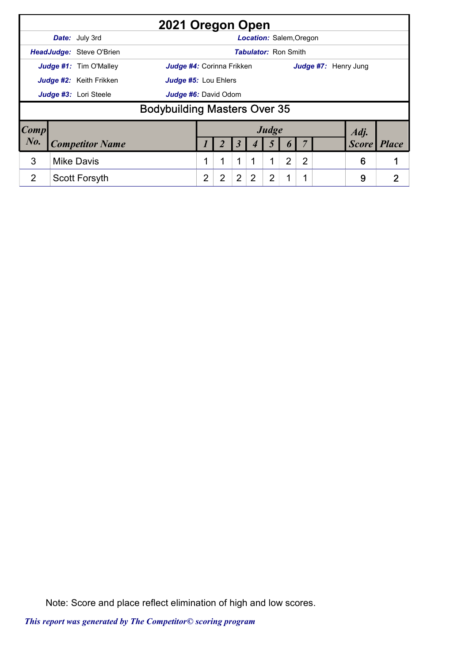|                        |                        |                                 | 2021 Oregon Open                    |                |                |                |                                |                |                |              |                      |   |
|------------------------|------------------------|---------------------------------|-------------------------------------|----------------|----------------|----------------|--------------------------------|----------------|----------------|--------------|----------------------|---|
|                        |                        | Date: July 3rd                  |                                     |                |                |                | <b>Location: Salem, Oregon</b> |                |                |              |                      |   |
|                        |                        | <b>HeadJudge: Steve O'Brien</b> |                                     |                |                |                | <b>Tabulator: Ron Smith</b>    |                |                |              |                      |   |
|                        |                        | Judge #1: Tim O'Malley          | Judge #4: Corinna Frikken           |                |                |                |                                |                |                |              | Judge #7: Henry Jung |   |
|                        |                        | <b>Judge #2:</b> Keith Frikken  | <b>Judge #5: Lou Ehlers</b>         |                |                |                |                                |                |                |              |                      |   |
|                        |                        | Judge #3: Lori Steele           | Judge #6: David Odom                |                |                |                |                                |                |                |              |                      |   |
|                        |                        |                                 | <b>Bodybuilding Masters Over 35</b> |                |                |                |                                |                |                |              |                      |   |
| $\lfloor Comp \rfloor$ |                        |                                 |                                     |                |                |                |                                | Judge          |                |              | Adj.                 |   |
| $N0$ .                 | <b>Competitor Name</b> |                                 |                                     |                |                |                |                                |                |                | <b>Score</b> | <b>Place</b>         |   |
| 3                      |                        | <b>Mike Davis</b>               |                                     |                |                | 1              |                                | 1              | $\overline{2}$ | 2            | 6                    |   |
| $\overline{2}$         |                        | <b>Scott Forsyth</b>            |                                     | $\overline{2}$ | $\overline{2}$ | $\overline{2}$ | 2                              | $\overline{2}$ |                |              | 9                    | 2 |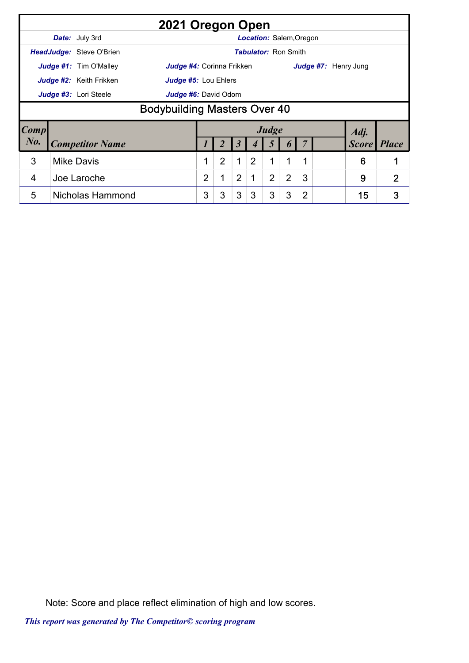|                        |                                                                                     | 2021 Oregon Open                                       |   |   |                |                                |                |   |                |                      |      |                    |  |  |
|------------------------|-------------------------------------------------------------------------------------|--------------------------------------------------------|---|---|----------------|--------------------------------|----------------|---|----------------|----------------------|------|--------------------|--|--|
|                        |                                                                                     | <b>Date:</b> July 3rd                                  |   |   |                | <b>Location: Salem, Oregon</b> |                |   |                |                      |      |                    |  |  |
|                        |                                                                                     | <b>HeadJudge: Steve O'Brien</b>                        |   |   |                | <b>Tabulator: Ron Smith</b>    |                |   |                |                      |      |                    |  |  |
|                        |                                                                                     | Judge #1: Tim O'Malley<br>Judge #4: Corinna Frikken    |   |   |                |                                |                |   |                | Judge #7: Henry Jung |      |                    |  |  |
|                        |                                                                                     | Judge #2: Keith Frikken<br><b>Judge #5: Lou Ehlers</b> |   |   |                |                                |                |   |                |                      |      |                    |  |  |
|                        |                                                                                     | Judge #3: Lori Steele<br>Judge #6: David Odom          |   |   |                |                                |                |   |                |                      |      |                    |  |  |
|                        | <b>Bodybuilding Masters Over 40</b>                                                 |                                                        |   |   |                |                                |                |   |                |                      |      |                    |  |  |
| $\lfloor Comp \rfloor$ |                                                                                     |                                                        |   |   |                |                                | Judge          |   |                |                      | Adj. |                    |  |  |
| $N_{0}$ .              |                                                                                     | <b>Competitor Name</b>                                 |   |   |                |                                |                |   |                |                      |      | <b>Score Place</b> |  |  |
| 3                      | $\overline{2}$<br>1<br>$\overline{2}$<br>1<br><b>Mike Davis</b><br>1<br>6<br>1<br>1 |                                                        |   |   |                |                                |                |   |                |                      |      |                    |  |  |
| 4                      |                                                                                     | Joe Laroche                                            | 2 | 1 | $\overline{2}$ |                                | $\overline{2}$ | 2 | 3              |                      | 9    | $\overline{2}$     |  |  |
| 5                      |                                                                                     | Nicholas Hammond                                       | 3 | 3 | 3              | 3                              | 3              | 3 | $\overline{2}$ |                      | 15   | 3                  |  |  |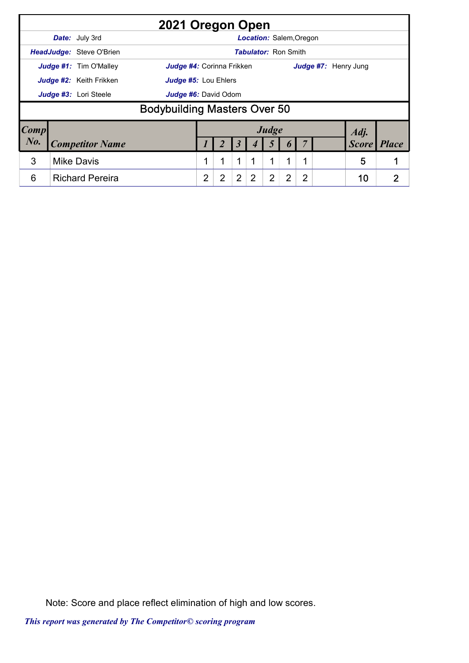|                        |                        |                          | 2021 Oregon Open                    |                |                      |                |                             |       |   |                |                      |    |
|------------------------|------------------------|--------------------------|-------------------------------------|----------------|----------------------|----------------|-----------------------------|-------|---|----------------|----------------------|----|
|                        |                        | <b>Date:</b> July 3rd    |                                     |                |                      |                | Location: Salem, Oregon     |       |   |                |                      |    |
|                        |                        | HeadJudge: Steve O'Brien |                                     |                |                      |                | <b>Tabulator: Ron Smith</b> |       |   |                |                      |    |
|                        |                        | Judge #1: Tim O'Malley   | <b>Judge #4:</b> Corinna Frikken    |                |                      |                |                             |       |   |                | Judge #7: Henry Jung |    |
|                        |                        | Judge #2: Keith Frikken  | <b>Judge #5: Lou Ehlers</b>         |                |                      |                |                             |       |   |                |                      |    |
|                        |                        | Judge #3: Lori Steele    | <b>Judge #6:</b> David Odom         |                |                      |                |                             |       |   |                |                      |    |
|                        |                        |                          | <b>Bodybuilding Masters Over 50</b> |                |                      |                |                             |       |   |                |                      |    |
| $\lfloor Comp \rfloor$ |                        |                          |                                     |                |                      |                |                             | Judge |   |                | Adj.                 |    |
| $N0$ .                 | <b>Competitor Name</b> |                          |                                     |                | $\boldsymbol{\beta}$ |                |                             |       |   | <b>Score</b>   | <i>Place</i>         |    |
| 3                      |                        | <b>Mike Davis</b>        |                                     |                |                      | 1              |                             | 1     | 1 |                | 5                    |    |
| 6                      |                        | <b>Richard Pereira</b>   |                                     | $\overline{2}$ | $\overline{2}$       | $\overline{2}$ | 2                           | 2     | 2 | $\overline{2}$ | 10                   | כי |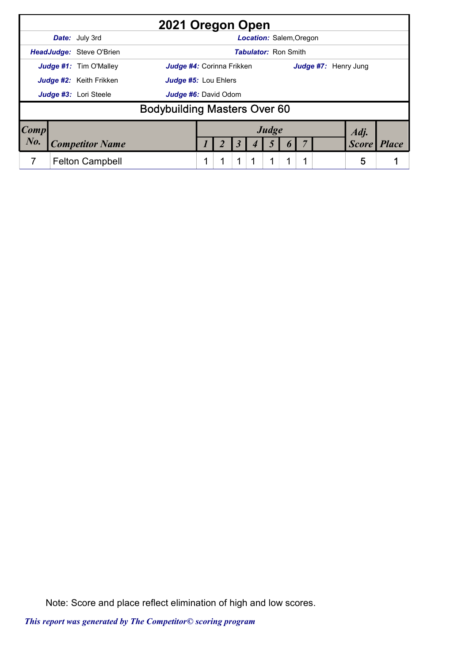|                        |                                | 2021 Oregon Open                    |   |   |                                |   |                      |              |              |
|------------------------|--------------------------------|-------------------------------------|---|---|--------------------------------|---|----------------------|--------------|--------------|
|                        | <b>Date:</b> July 3rd          |                                     |   |   | <b>Location: Salem, Oregon</b> |   |                      |              |              |
|                        | HeadJudge: Steve O'Brien       |                                     |   |   | <b>Tabulator: Ron Smith</b>    |   |                      |              |              |
|                        | Judge #1: Tim O'Malley         | <b>Judge #4:</b> Corinna Frikken    |   |   |                                |   | Judge #7: Henry Jung |              |              |
|                        | <b>Judge #2:</b> Keith Frikken | Judge #5: Lou Ehlers                |   |   |                                |   |                      |              |              |
|                        | Judge #3: Lori Steele          | Judge #6: David Odom                |   |   |                                |   |                      |              |              |
|                        |                                | <b>Bodybuilding Masters Over 60</b> |   |   |                                |   |                      |              |              |
| $\lfloor Comp \rfloor$ |                                |                                     |   |   | Judge                          |   |                      | Adj.         |              |
| No.                    | <b>Competitor Name</b>         |                                     |   |   |                                |   |                      | <b>Score</b> | <b>Place</b> |
| 7                      | <b>Felton Campbell</b>         |                                     | 4 | 1 | 1                              | 1 |                      | 5            |              |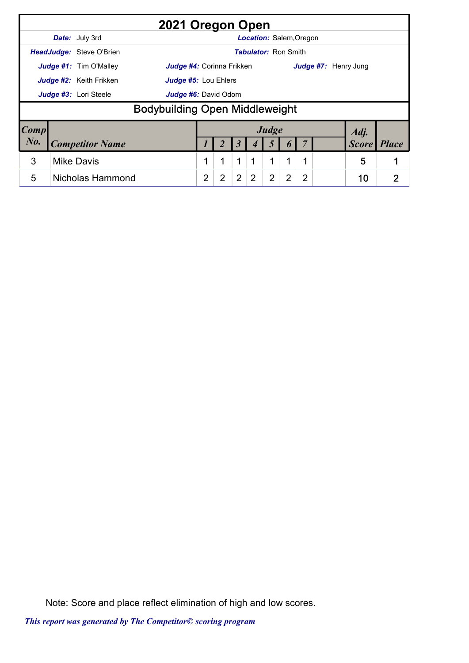|                        |                       |                                | 2021 Oregon Open                      |                |                      |                |                                |       |   |                |                      |              |
|------------------------|-----------------------|--------------------------------|---------------------------------------|----------------|----------------------|----------------|--------------------------------|-------|---|----------------|----------------------|--------------|
|                        |                       | <b>Date:</b> July 3rd          |                                       |                |                      |                | <b>Location: Salem, Oregon</b> |       |   |                |                      |              |
|                        |                       | HeadJudge: Steve O'Brien       |                                       |                |                      |                | <b>Tabulator: Ron Smith</b>    |       |   |                |                      |              |
|                        |                       | Judge #1: Tim O'Malley         | Judge #4: Corinna Frikken             |                |                      |                |                                |       |   |                | Judge #7: Henry Jung |              |
|                        |                       | <b>Judge #2:</b> Keith Frikken | <b>Judge #5: Lou Ehlers</b>           |                |                      |                |                                |       |   |                |                      |              |
|                        | Judge #3: Lori Steele |                                |                                       |                | Judge #6: David Odom |                |                                |       |   |                |                      |              |
|                        |                       |                                | <b>Bodybuilding Open Middleweight</b> |                |                      |                |                                |       |   |                |                      |              |
| $\lfloor Comp \rfloor$ |                       |                                |                                       |                |                      |                |                                | Judge |   |                | Adj.                 |              |
| $N0$ .                 |                       | <b>Competitor Name</b>         |                                       |                |                      |                |                                |       |   |                | <b>Score</b>         | <b>Place</b> |
| 3                      |                       | <b>Mike Davis</b>              |                                       |                |                      | 1              |                                | 1     |   |                | 5                    |              |
| 5                      |                       | Nicholas Hammond               |                                       | $\overline{2}$ | $\overline{2}$       | $\overline{2}$ | 2                              | 2     | 2 | $\overline{2}$ | 10                   | 2            |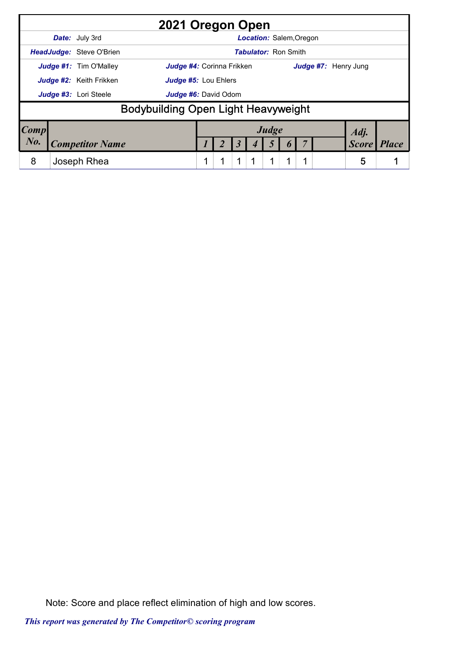|             |                                            | 2021 Oregon Open                 |  |   |                                |   |   |                      |              |              |
|-------------|--------------------------------------------|----------------------------------|--|---|--------------------------------|---|---|----------------------|--------------|--------------|
|             | <b>Date:</b> July 3rd                      |                                  |  |   | <b>Location: Salem, Oregon</b> |   |   |                      |              |              |
|             | HeadJudge: Steve O'Brien                   |                                  |  |   | <b>Tabulator: Ron Smith</b>    |   |   |                      |              |              |
|             | Judge #1: Tim O'Malley                     | <b>Judge #4: Corinna Frikken</b> |  |   |                                |   |   | Judge #7: Henry Jung |              |              |
|             | Judge #2: Keith Frikken                    | <b>Judge #5: Lou Ehlers</b>      |  |   |                                |   |   |                      |              |              |
|             | Judge #3: Lori Steele                      | Judge #6: David Odom             |  |   |                                |   |   |                      |              |              |
|             | <b>Bodybuilding Open Light Heavyweight</b> |                                  |  |   |                                |   |   |                      |              |              |
| $\bm{Comp}$ |                                            |                                  |  |   | Judge                          |   |   |                      | Adj.         |              |
| $N0$ .      | <b>Competitor Name</b>                     |                                  |  |   |                                |   |   |                      | <b>Score</b> | <b>Place</b> |
| 8           | Joseph Rhea                                |                                  |  | 1 | 1                              | 1 | 1 |                      | 5            |              |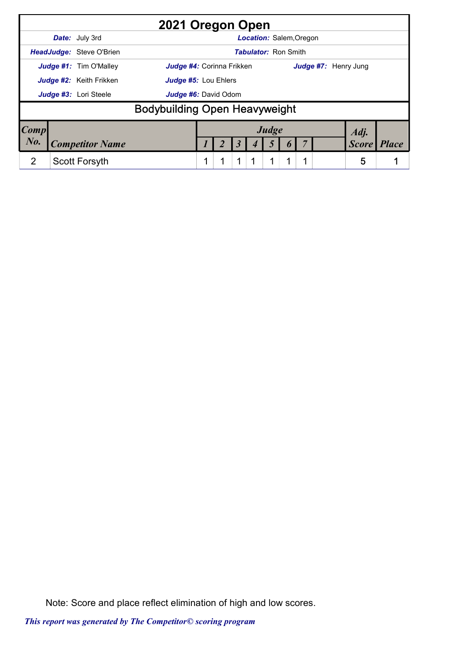|             |                                 | 2021 Oregon Open                     |   |   |                                |   |                      |              |              |
|-------------|---------------------------------|--------------------------------------|---|---|--------------------------------|---|----------------------|--------------|--------------|
|             | <b>Date:</b> July 3rd           |                                      |   |   | <b>Location: Salem, Oregon</b> |   |                      |              |              |
|             | <b>HeadJudge:</b> Steve O'Brien |                                      |   |   | <b>Tabulator: Ron Smith</b>    |   |                      |              |              |
|             | Judge #1: Tim O'Malley          | <b>Judge #4:</b> Corinna Frikken     |   |   |                                |   | Judge #7: Henry Jung |              |              |
|             | Judge #2: Keith Frikken         | Judge #5: Lou Ehlers                 |   |   |                                |   |                      |              |              |
|             | Judge #3: Lori Steele           | Judge #6: David Odom                 |   |   |                                |   |                      |              |              |
|             |                                 | <b>Bodybuilding Open Heavyweight</b> |   |   |                                |   |                      |              |              |
| <b>Comp</b> |                                 |                                      |   |   | Judge                          |   |                      | Adj.         |              |
| $N_{0}$ .   | <b>Competitor Name</b>          |                                      |   |   |                                |   |                      | <b>Score</b> | <b>Place</b> |
| 2           | Scott Forsyth                   |                                      | 4 | 1 | $\mathbf 1$                    | 1 |                      | 5            |              |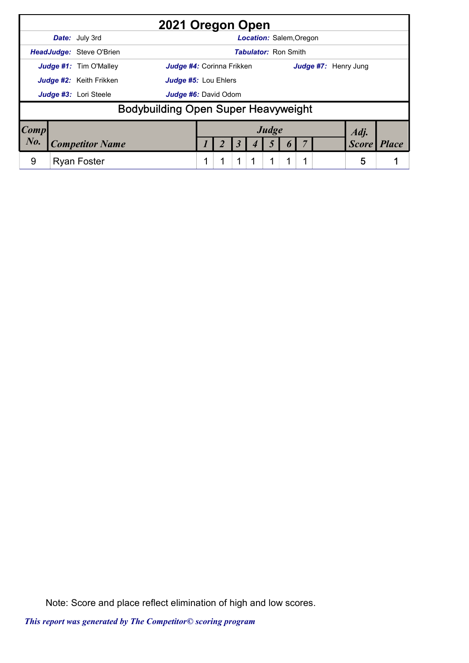|             |                               | 2021 Oregon Open                           |  |   |                                |   |   |                      |              |              |
|-------------|-------------------------------|--------------------------------------------|--|---|--------------------------------|---|---|----------------------|--------------|--------------|
|             | <b>Date:</b> July 3rd         |                                            |  |   | <b>Location: Salem, Oregon</b> |   |   |                      |              |              |
|             | HeadJudge: Steve O'Brien      |                                            |  |   | <b>Tabulator: Ron Smith</b>    |   |   |                      |              |              |
|             | <b>Judge #1:</b> Tim O'Malley | <b>Judge #4: Corinna Frikken</b>           |  |   |                                |   |   | Judge #7: Henry Jung |              |              |
|             | Judge #2: Keith Frikken       | <b>Judge #5: Lou Ehlers</b>                |  |   |                                |   |   |                      |              |              |
|             | Judge #3: Lori Steele         | Judge #6: David Odom                       |  |   |                                |   |   |                      |              |              |
|             |                               | <b>Bodybuilding Open Super Heavyweight</b> |  |   |                                |   |   |                      |              |              |
| $\bm{Comp}$ |                               |                                            |  |   | Judge                          |   |   |                      | Adj.         |              |
| $N0$ .      | <b>Competitor Name</b>        |                                            |  |   |                                |   |   |                      | <b>Score</b> | <b>Place</b> |
| 9           | <b>Ryan Foster</b>            |                                            |  | 1 | 1                              | 1 | 1 |                      | 5            |              |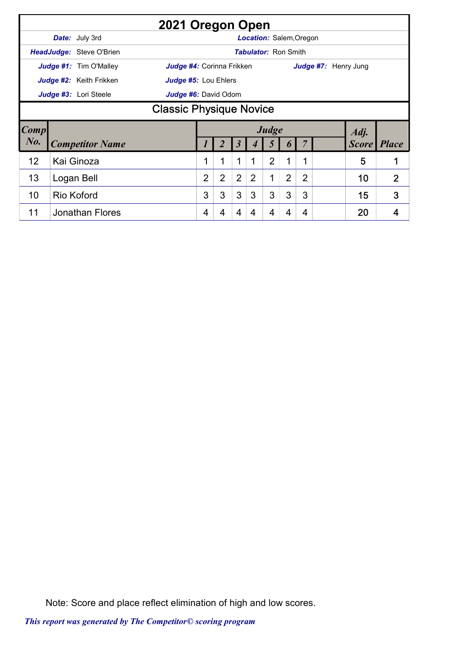|             |                                |                                 | 2021 Oregon Open                                                                                                                      |   |   |   |   |                |                                |   |                      |              |              |  |  |
|-------------|--------------------------------|---------------------------------|---------------------------------------------------------------------------------------------------------------------------------------|---|---|---|---|----------------|--------------------------------|---|----------------------|--------------|--------------|--|--|
|             |                                | Date: July 3rd                  |                                                                                                                                       |   |   |   |   |                | <b>Location: Salem, Oregon</b> |   |                      |              |              |  |  |
|             |                                | <b>HeadJudge: Steve O'Brien</b> |                                                                                                                                       |   |   |   |   |                | <b>Tabulator: Ron Smith</b>    |   |                      |              |              |  |  |
|             |                                | <b>Judge #1:</b> Tim O'Malley   | <b>Judge #4:</b> Corinna Frikken                                                                                                      |   |   |   |   |                |                                |   | Judge #7: Henry Jung |              |              |  |  |
|             |                                | Judge #2: Keith Frikken         | Judge #5: Lou Ehlers                                                                                                                  |   |   |   |   |                |                                |   |                      |              |              |  |  |
|             |                                | Judge #3: Lori Steele           | Judge #6: David Odom                                                                                                                  |   |   |   |   |                |                                |   |                      |              |              |  |  |
|             | <b>Classic Physique Novice</b> |                                 |                                                                                                                                       |   |   |   |   |                |                                |   |                      |              |              |  |  |
| <b>Comp</b> |                                |                                 | Judge<br>Adj.                                                                                                                         |   |   |   |   |                |                                |   |                      |              |              |  |  |
| $N0$ .      |                                | <b>Competitor Name</b>          |                                                                                                                                       |   |   | 5 |   | 5              | $\bm{b}$                       |   |                      | <b>Score</b> | <b>Place</b> |  |  |
| 12          |                                | Kai Ginoza                      |                                                                                                                                       | 1 | 1 | 1 | 1 | $\overline{2}$ | 1                              | 1 |                      | 5            | 1            |  |  |
| 13          |                                | Logan Bell                      | $\overline{2}$<br>$\overline{2}$<br>$\overline{2}$<br>$\overline{2}$<br>$\overline{2}$<br>$\overline{2}$<br>1<br>$\overline{2}$<br>10 |   |   |   |   |                |                                |   |                      |              |              |  |  |
| 10          |                                | Rio Koford                      |                                                                                                                                       | 3 | 3 | 3 | 3 | 3              | 3                              | 3 |                      | 15           | 3            |  |  |
| 11          |                                | <b>Jonathan Flores</b>          |                                                                                                                                       | 4 | 4 | 4 | 4 | 4              | 4                              | 4 |                      | 20           | 4            |  |  |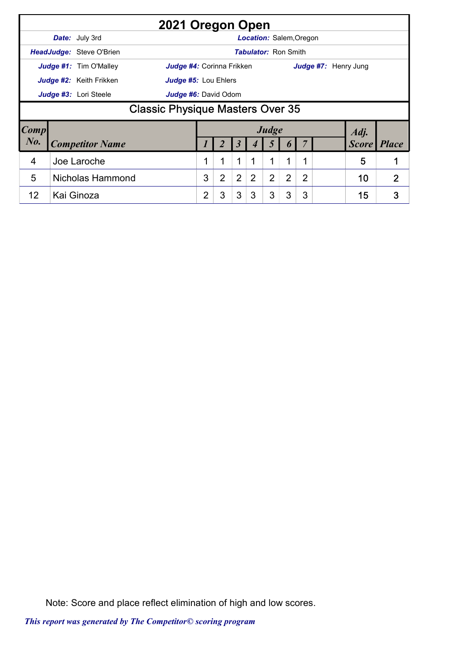|           |                                         | 2021 Oregon Open                                           |                                                                                                             |   |   |   |                                |   |   |  |                      |                    |  |  |
|-----------|-----------------------------------------|------------------------------------------------------------|-------------------------------------------------------------------------------------------------------------|---|---|---|--------------------------------|---|---|--|----------------------|--------------------|--|--|
|           |                                         | <b>Date:</b> July 3rd                                      |                                                                                                             |   |   |   | <b>Location: Salem, Oregon</b> |   |   |  |                      |                    |  |  |
|           |                                         | <b>HeadJudge: Steve O'Brien</b>                            |                                                                                                             |   |   |   | <b>Tabulator: Ron Smith</b>    |   |   |  |                      |                    |  |  |
|           |                                         | <b>Judge #1:</b> Tim O'Malley<br>Judge #4: Corinna Frikken |                                                                                                             |   |   |   |                                |   |   |  | Judge #7: Henry Jung |                    |  |  |
|           |                                         | Judge #2: Keith Frikken<br>Judge #5: Lou Ehlers            |                                                                                                             |   |   |   |                                |   |   |  |                      |                    |  |  |
|           |                                         | Judge #3: Lori Steele<br>Judge #6: David Odom              |                                                                                                             |   |   |   |                                |   |   |  |                      |                    |  |  |
|           | <b>Classic Physique Masters Over 35</b> |                                                            |                                                                                                             |   |   |   |                                |   |   |  |                      |                    |  |  |
| Comp      |                                         |                                                            |                                                                                                             |   |   |   | Judge                          |   |   |  | Adj.                 |                    |  |  |
| $N_{0}$ . |                                         | <b>Competitor Name</b>                                     |                                                                                                             |   | 3 |   |                                |   |   |  |                      | <b>Score</b> Place |  |  |
| 4         |                                         | Joe Laroche                                                | 1<br>1<br>1<br>$\mathbf 1$<br>5<br>1<br>1<br>1                                                              |   |   |   |                                |   |   |  |                      |                    |  |  |
| 5         |                                         | <b>Nicholas Hammond</b>                                    | $\overline{2}$<br>$\overline{2}$<br>$\overline{2}$<br>2<br>3<br>2<br>$\overline{2}$<br>10<br>$\overline{2}$ |   |   |   |                                |   |   |  |                      |                    |  |  |
| 12        |                                         | Kai Ginoza                                                 | 2                                                                                                           | 3 | 3 | 3 | 3                              | 3 | 3 |  | 15                   | 3                  |  |  |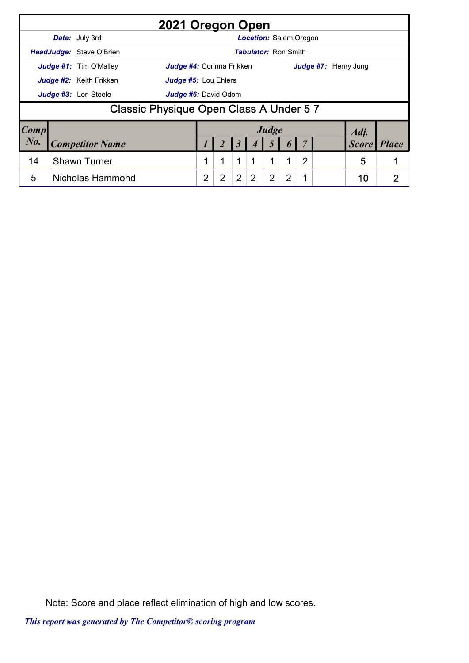|                        |                                         |                                | 2021 Oregon Open                 |                |   |                |                |                                |   |   |              |                      |   |
|------------------------|-----------------------------------------|--------------------------------|----------------------------------|----------------|---|----------------|----------------|--------------------------------|---|---|--------------|----------------------|---|
|                        |                                         | <b>Date:</b> July 3rd          |                                  |                |   |                |                | <b>Location: Salem, Oregon</b> |   |   |              |                      |   |
|                        |                                         | HeadJudge: Steve O'Brien       |                                  |                |   |                |                | <b>Tabulator: Ron Smith</b>    |   |   |              |                      |   |
|                        |                                         | Judge #1: Tim O'Malley         | <b>Judge #4:</b> Corinna Frikken |                |   |                |                |                                |   |   |              | Judge #7: Henry Jung |   |
|                        |                                         | <b>Judge #2:</b> Keith Frikken | Judge #5: Lou Ehlers             |                |   |                |                |                                |   |   |              |                      |   |
|                        |                                         | Judge #3: Lori Steele          | <b>Judge #6:</b> David Odom      |                |   |                |                |                                |   |   |              |                      |   |
|                        | Classic Physique Open Class A Under 5 7 |                                |                                  |                |   |                |                |                                |   |   |              |                      |   |
| $\lfloor Comp \rfloor$ |                                         |                                |                                  |                |   |                |                | Judge                          |   |   |              | Adj.                 |   |
| $N_{0}$ .              | <b>Competitor Name</b>                  |                                |                                  |                | 3 |                |                | $\boldsymbol{v}$               |   |   | <b>Score</b> | <b>Place</b>         |   |
| 14                     |                                         | <b>Shawn Turner</b>            |                                  | 1              | 1 | $\mathbf{1}$   | 1              | 1                              | 1 | 2 |              | 5                    |   |
| 5                      |                                         | Nicholas Hammond               |                                  | $\overline{2}$ | 2 | $\overline{2}$ | $\overline{2}$ | $\overline{2}$                 | 2 |   |              | 10                   | 2 |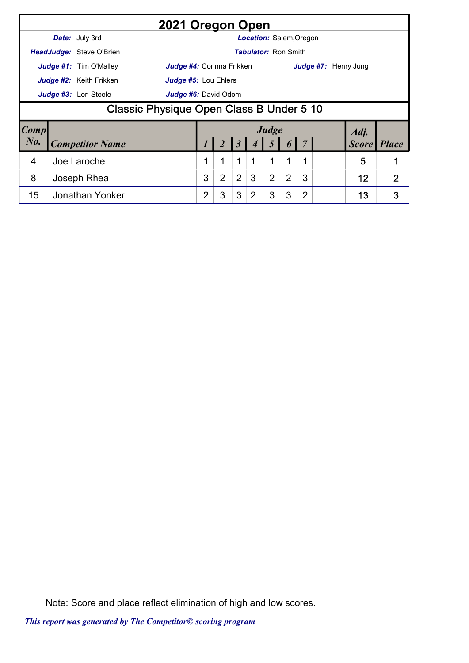|           |                                 | 2021 Oregon Open                                |                |   |                |                                |                |   |                |  |                      |                |
|-----------|---------------------------------|-------------------------------------------------|----------------|---|----------------|--------------------------------|----------------|---|----------------|--|----------------------|----------------|
|           | <b>Date:</b> July 3rd           |                                                 |                |   |                | <b>Location: Salem, Oregon</b> |                |   |                |  |                      |                |
|           | <b>HeadJudge: Steve O'Brien</b> |                                                 |                |   |                | <b>Tabulator: Ron Smith</b>    |                |   |                |  |                      |                |
|           | <b>Judge #1:</b> Tim O'Malley   | <b>Judge #4:</b> Corinna Frikken                |                |   |                |                                |                |   |                |  | Judge #7: Henry Jung |                |
|           | <b>Judge #2:</b> Keith Frikken  | <b>Judge #5: Lou Ehlers</b>                     |                |   |                |                                |                |   |                |  |                      |                |
|           | Judge #3: Lori Steele           | Judge #6: David Odom                            |                |   |                |                                |                |   |                |  |                      |                |
|           |                                 | <b>Classic Physique Open Class B Under 5 10</b> |                |   |                |                                |                |   |                |  |                      |                |
| Comp      |                                 |                                                 |                |   |                |                                | Judge          |   |                |  | Adj.                 |                |
| $N_{0}$ . | <b>Competitor Name</b>          |                                                 |                |   | 3              |                                |                |   |                |  | <b>Score</b> Place   |                |
| 4         | Joe Laroche                     |                                                 | 1              | 1 | 1              | 1                              | 1              | 1 | 1              |  | 5                    |                |
| 8         | Joseph Rhea                     |                                                 | 3              | 2 | $\overline{2}$ | 3                              | $\overline{2}$ | 2 | 3              |  | 12                   | $\overline{2}$ |
| 15        | Jonathan Yonker                 |                                                 | $\overline{2}$ | 3 | 3              | 2                              | 3              | 3 | $\overline{2}$ |  | 13                   | 3              |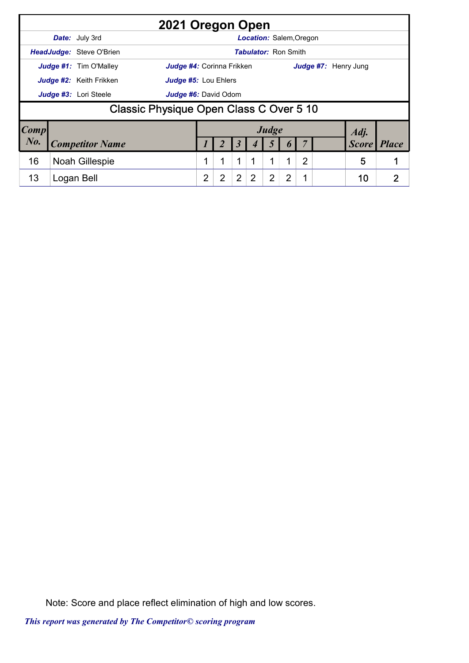|                        |                          | 2021 Oregon Open                        |   |   |                |   |                             |   |   |                      |              |                |
|------------------------|--------------------------|-----------------------------------------|---|---|----------------|---|-----------------------------|---|---|----------------------|--------------|----------------|
|                        | Date: July 3rd           |                                         |   |   |                |   | Location: Salem, Oregon     |   |   |                      |              |                |
|                        | HeadJudge: Steve O'Brien |                                         |   |   |                |   | <b>Tabulator: Ron Smith</b> |   |   |                      |              |                |
|                        | Judge #1: Tim O'Malley   | Judge #4: Corinna Frikken               |   |   |                |   |                             |   |   | Judge #7: Henry Jung |              |                |
|                        | Judge #2: Keith Frikken  | <b>Judge #5: Lou Ehlers</b>             |   |   |                |   |                             |   |   |                      |              |                |
|                        | Judge #3: Lori Steele    | Judge #6: David Odom                    |   |   |                |   |                             |   |   |                      |              |                |
|                        |                          | Classic Physique Open Class C Over 5 10 |   |   |                |   |                             |   |   |                      |              |                |
| $\lfloor Comp \rfloor$ |                          |                                         |   |   |                |   | Judge                       |   |   |                      | Adj.         |                |
| $N_{0}$ .              | <b>Competitor Name</b>   |                                         |   |   | 3              |   | 5                           |   |   |                      | <b>Score</b> | <b>Place</b>   |
| 16                     | <b>Noah Gillespie</b>    |                                         | 1 | 1 | 1              |   | 1                           | 1 | 2 |                      | 5            |                |
| 13                     | Logan Bell               |                                         | 2 | 2 | $\overline{2}$ | 2 | $\overline{2}$              | 2 | 1 |                      | 10           | $\overline{2}$ |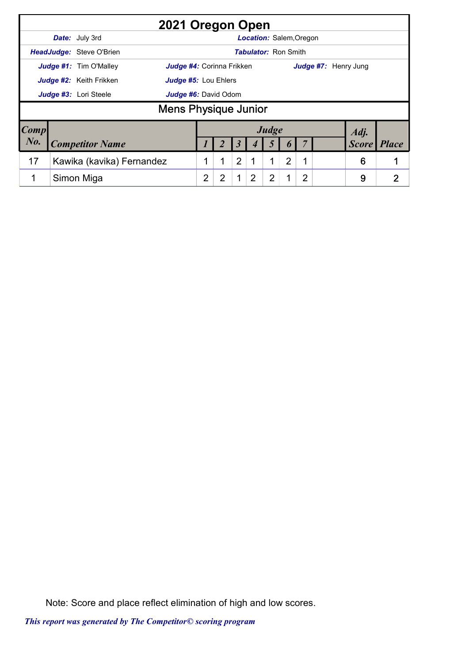|                        |                                 | 2021 Oregon Open            |                |   |   |   |       |                             |   |                      |              |
|------------------------|---------------------------------|-----------------------------|----------------|---|---|---|-------|-----------------------------|---|----------------------|--------------|
|                        | Date: July 3rd                  |                             |                |   |   |   |       | Location: Salem, Oregon     |   |                      |              |
|                        | <b>HeadJudge: Steve O'Brien</b> |                             |                |   |   |   |       | <b>Tabulator: Ron Smith</b> |   |                      |              |
|                        | <b>Judge #1:</b> Tim O'Malley   | Judge #4: Corinna Frikken   |                |   |   |   |       |                             |   | Judge #7: Henry Jung |              |
|                        | Judge #2: Keith Frikken         | <b>Judge #5: Lou Ehlers</b> |                |   |   |   |       |                             |   |                      |              |
|                        | Judge #3: Lori Steele           | <b>Judge #6:</b> David Odom |                |   |   |   |       |                             |   |                      |              |
|                        |                                 | <b>Mens Physique Junior</b> |                |   |   |   |       |                             |   |                      |              |
| $\lfloor Comp \rfloor$ |                                 |                             |                |   |   |   | Judge |                             |   | Adj.                 |              |
| $N_{0}$ .              | <b>Competitor Name</b>          |                             |                |   |   |   |       |                             |   | <b>Score</b>         | <i>Place</i> |
| 17                     | Kawika (kavika) Fernandez       |                             |                | 1 | 2 |   | 1     | 2                           | 1 | 6                    |              |
| 1                      | Simon Miga                      |                             | $\overline{2}$ | 2 | 1 | 2 | 2     |                             | 2 | 9                    | 2            |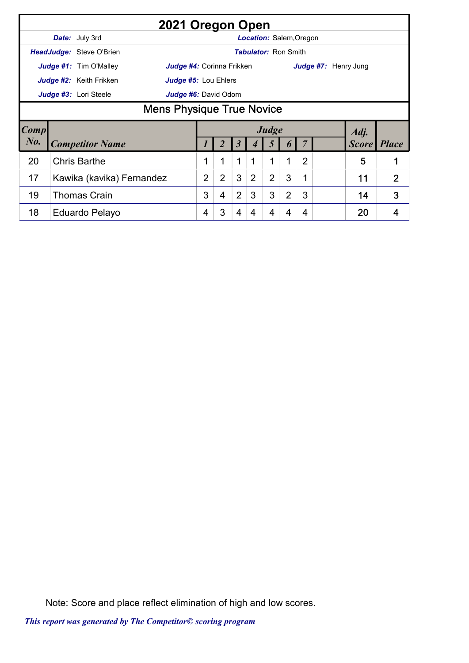|             | 2021 Oregon Open                                                  |                |   |                |                |                                |                  |                |                      |                |
|-------------|-------------------------------------------------------------------|----------------|---|----------------|----------------|--------------------------------|------------------|----------------|----------------------|----------------|
|             | <b>Date:</b> July 3rd                                             |                |   |                |                | <b>Location: Salem, Oregon</b> |                  |                |                      |                |
|             | <b>HeadJudge:</b> Steve O'Brien                                   |                |   |                |                | <b>Tabulator: Ron Smith</b>    |                  |                |                      |                |
|             | <b>Judge #1:</b> Tim O'Malley<br><b>Judge #4:</b> Corinna Frikken |                |   |                |                |                                |                  |                | Judge #7: Henry Jung |                |
|             | Judge #2: Keith Frikken<br>Judge #5: Lou Ehlers                   |                |   |                |                |                                |                  |                |                      |                |
|             | Judge #3: Lori Steele<br>Judge #6: David Odom                     |                |   |                |                |                                |                  |                |                      |                |
|             | <b>Mens Physique True Novice</b>                                  |                |   |                |                |                                |                  |                |                      |                |
| <b>Comp</b> |                                                                   |                |   |                |                | Judge                          |                  |                | Adj.                 |                |
| $N_{0}$ .   | <b>Competitor Name</b>                                            |                |   | 3              |                | $\mathfrak{I}$                 | $\boldsymbol{0}$ |                | Score                | <b>Place</b>   |
| 20          | <b>Chris Barthe</b>                                               | $\mathbf 1$    |   | $\mathbf 1$    | 1              | 1                              | 1                | $\overline{2}$ | 5                    |                |
| 17          | Kawika (kavika) Fernandez                                         | $\overline{2}$ | 2 | 3              | $\overline{2}$ | $\overline{2}$                 | 3                | 1              | 11                   | $\overline{2}$ |
| 19          | <b>Thomas Crain</b>                                               | 3              | 4 | $\overline{2}$ | 3              | 3                              | $\overline{2}$   | 3              | 14                   | 3              |
| 18          | Eduardo Pelayo                                                    | 4              | 3 | 4              | 4              | 4                              | 4                | 4              | 20                   | 4              |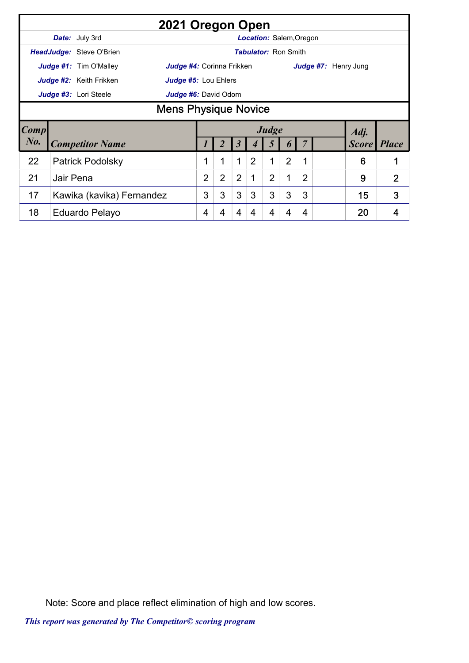|             |           | 2021 Oregon Open                                                  |                |                |                |                |                                |                |                |                      |              |                |
|-------------|-----------|-------------------------------------------------------------------|----------------|----------------|----------------|----------------|--------------------------------|----------------|----------------|----------------------|--------------|----------------|
|             |           | <b>Date:</b> July 3rd                                             |                |                |                |                | <b>Location: Salem, Oregon</b> |                |                |                      |              |                |
|             |           | <b>HeadJudge: Steve O'Brien</b>                                   |                |                |                |                | <b>Tabulator: Ron Smith</b>    |                |                |                      |              |                |
|             |           | <b>Judge #1:</b> Tim O'Malley<br><b>Judge #4:</b> Corinna Frikken |                |                |                |                |                                |                |                | Judge #7: Henry Jung |              |                |
|             |           | Judge #2: Keith Frikken<br>Judge #5: Lou Ehlers                   |                |                |                |                |                                |                |                |                      |              |                |
|             |           | Judge #3: Lori Steele<br>Judge #6: David Odom                     |                |                |                |                |                                |                |                |                      |              |                |
|             |           | <b>Mens Physique Novice</b>                                       |                |                |                |                |                                |                |                |                      |              |                |
| <b>Comp</b> |           |                                                                   |                |                |                |                | Judge                          |                |                |                      | Adj.         |                |
| $N0$ .      |           | <b>Competitor Name</b>                                            |                |                | 3              | 4              | 5                              | 6              |                |                      | <b>Score</b> | <i>Place</i>   |
| 22          |           | <b>Patrick Podolsky</b>                                           | 1              | 1              | 1              | $\overline{2}$ | 1                              | $\overline{2}$ | 1              |                      | 6            | 1              |
| 21          | Jair Pena |                                                                   | $\overline{2}$ | $\overline{2}$ | $\overline{2}$ |                | $\overline{2}$                 | 1              | $\overline{2}$ |                      | 9            | $\overline{2}$ |
| 17          |           | Kawika (kavika) Fernandez                                         | 3              | 3              | 3              | 3              | 3                              | 3              | 3              |                      | 15           | 3              |
| 18          |           | Eduardo Pelayo                                                    | 4              | 4              | 4              | 4              | 4                              | 4              | 4              |                      | 20           | 4              |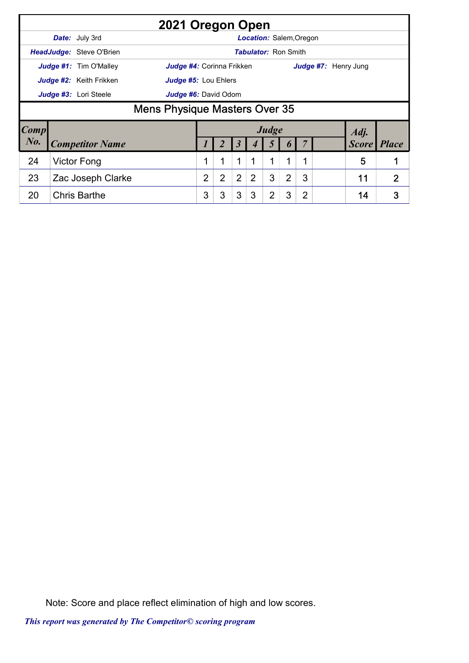|                        |                               | 2021 Oregon Open                     |   |                |                      |                                |                |   |                |                      |                |
|------------------------|-------------------------------|--------------------------------------|---|----------------|----------------------|--------------------------------|----------------|---|----------------|----------------------|----------------|
|                        | <b>Date:</b> July 3rd         |                                      |   |                |                      | <b>Location: Salem, Oregon</b> |                |   |                |                      |                |
|                        | HeadJudge: Steve O'Brien      |                                      |   |                |                      | <b>Tabulator: Ron Smith</b>    |                |   |                |                      |                |
|                        | <b>Judge #1:</b> Tim O'Malley | Judge #4: Corinna Frikken            |   |                |                      |                                |                |   |                | Judge #7: Henry Jung |                |
|                        | Judge #2: Keith Frikken       | <b>Judge #5: Lou Ehlers</b>          |   |                |                      |                                |                |   |                |                      |                |
|                        | Judge #3: Lori Steele         | Judge #6: David Odom                 |   |                |                      |                                |                |   |                |                      |                |
|                        |                               | <b>Mens Physique Masters Over 35</b> |   |                |                      |                                |                |   |                |                      |                |
| $\lfloor Comp \rfloor$ |                               |                                      |   |                |                      |                                | Judge          |   |                | Adj.                 |                |
| $N_{0}$ .              | <b>Competitor Name</b>        |                                      |   |                | $\boldsymbol{\beta}$ |                                | Ć              |   |                | <b>Score</b>         | <b>Place</b>   |
| 24                     | Victor Fong                   |                                      |   | 1              | 1                    | 1                              | 1              | 1 | $\mathbf{1}$   | 5                    | 1              |
| 23                     | Zac Joseph Clarke             |                                      | 2 | $\overline{2}$ | $\overline{2}$       | $\overline{2}$                 | 3              | 2 | 3              | 11                   | $\overline{2}$ |
| 20                     | <b>Chris Barthe</b>           |                                      | 3 | 3              | 3                    | 3                              | $\overline{2}$ | 3 | $\overline{2}$ | 14                   | 3              |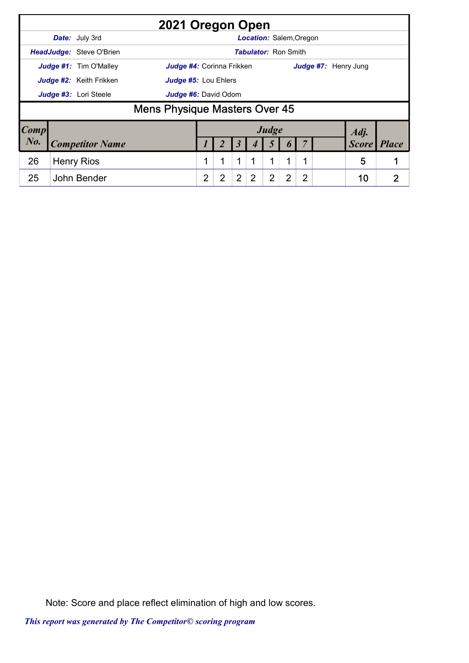|        |                          | 2021 Oregon Open                     |                |                |                |                             |       |   |                |                      |              |
|--------|--------------------------|--------------------------------------|----------------|----------------|----------------|-----------------------------|-------|---|----------------|----------------------|--------------|
|        | Date: July 3rd           |                                      |                |                |                | Location: Salem, Oregon     |       |   |                |                      |              |
|        | HeadJudge: Steve O'Brien |                                      |                |                |                | <b>Tabulator: Ron Smith</b> |       |   |                |                      |              |
|        | Judge #1: Tim O'Malley   | Judge #4: Corinna Frikken            |                |                |                |                             |       |   |                | Judge #7: Henry Jung |              |
|        | Judge #2: Keith Frikken  | <b>Judge #5: Lou Ehlers</b>          |                |                |                |                             |       |   |                |                      |              |
|        | Judge #3: Lori Steele    | <b>Judge #6: David Odom</b>          |                |                |                |                             |       |   |                |                      |              |
|        |                          | <b>Mens Physique Masters Over 45</b> |                |                |                |                             |       |   |                |                      |              |
| Comp   |                          |                                      |                |                |                |                             | Judge |   |                | Adj.                 |              |
| $N0$ . | <b>Competitor Name</b>   |                                      |                |                | 3              |                             |       |   |                | <b>Score</b>         | <i>Place</i> |
| 26     | <b>Henry Rios</b>        |                                      |                |                | 1              |                             | 1     | 1 |                | 5                    |              |
| 25     | John Bender              |                                      | $\overline{2}$ | $\overline{2}$ | $\overline{2}$ | 2                           | 2     | 2 | $\overline{2}$ | 10                   | כי           |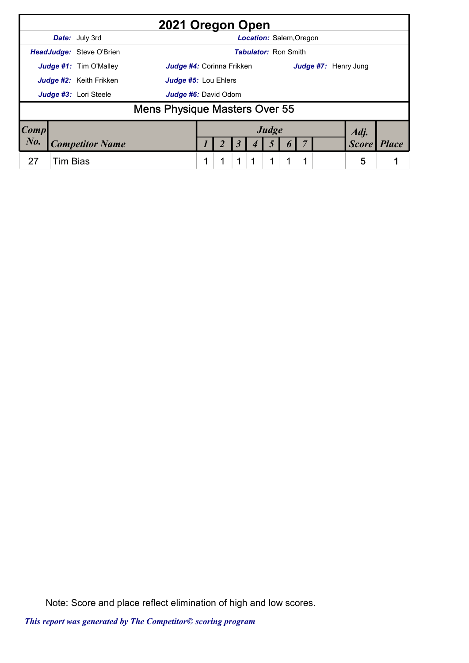|             |                 |                          | 2021 Oregon Open                     |  |   |                                |  |                      |              |              |
|-------------|-----------------|--------------------------|--------------------------------------|--|---|--------------------------------|--|----------------------|--------------|--------------|
|             |                 | Date: July 3rd           |                                      |  |   | <b>Location: Salem, Oregon</b> |  |                      |              |              |
|             |                 | HeadJudge: Steve O'Brien |                                      |  |   | <b>Tabulator: Ron Smith</b>    |  |                      |              |              |
|             |                 | Judge #1: Tim O'Malley   | <b>Judge #4: Corinna Frikken</b>     |  |   |                                |  | Judge #7: Henry Jung |              |              |
|             |                 | Judge #2: Keith Frikken  | Judge #5: Lou Ehlers                 |  |   |                                |  |                      |              |              |
|             |                 | Judge #3: Lori Steele    | Judge #6: David Odom                 |  |   |                                |  |                      |              |              |
|             |                 |                          | <b>Mens Physique Masters Over 55</b> |  |   |                                |  |                      |              |              |
| $\bm{Comp}$ |                 |                          |                                      |  |   | Judge                          |  |                      | Adj.         |              |
| $N0$ .      |                 | <b>Competitor Name</b>   |                                      |  | 3 | 5                              |  |                      | <b>Score</b> | <b>Place</b> |
| 27          | <b>Tim Bias</b> |                          |                                      |  | 1 | 1                              |  |                      | 5            |              |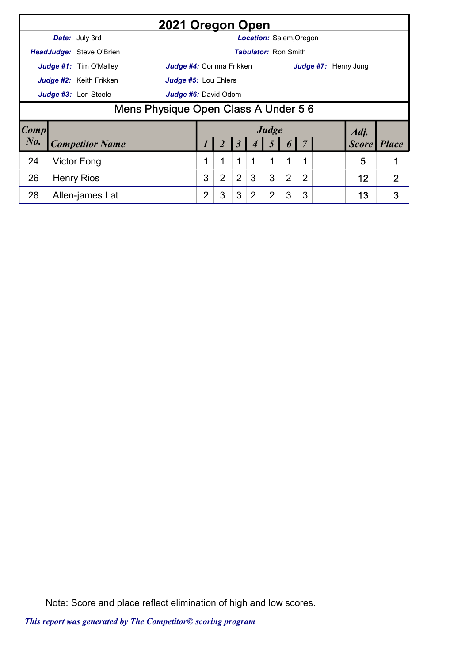|           |                                 | 2021 Oregon Open                     |                |   |                |                                |                |   |                |                      |      |                    |
|-----------|---------------------------------|--------------------------------------|----------------|---|----------------|--------------------------------|----------------|---|----------------|----------------------|------|--------------------|
|           | Date: July 3rd                  |                                      |                |   |                | <b>Location: Salem, Oregon</b> |                |   |                |                      |      |                    |
|           | <b>HeadJudge: Steve O'Brien</b> |                                      |                |   |                | <b>Tabulator: Ron Smith</b>    |                |   |                |                      |      |                    |
|           | <b>Judge #1:</b> Tim O'Malley   | <b>Judge #4:</b> Corinna Frikken     |                |   |                |                                |                |   |                | Judge #7: Henry Jung |      |                    |
|           | <b>Judge #2:</b> Keith Frikken  | <b>Judge #5: Lou Ehlers</b>          |                |   |                |                                |                |   |                |                      |      |                    |
|           | Judge #3: Lori Steele           | Judge #6: David Odom                 |                |   |                |                                |                |   |                |                      |      |                    |
|           |                                 | Mens Physique Open Class A Under 5 6 |                |   |                |                                |                |   |                |                      |      |                    |
| Comp      |                                 |                                      |                |   |                |                                | Judge          |   |                |                      | Adj. |                    |
| $N_{0}$ . | <b>Competitor Name</b>          |                                      |                |   | 3              |                                |                |   |                |                      |      | <b>Score</b> Place |
| 24        | Victor Fong                     |                                      | 1              | 1 | 1              | 1                              | 1              | 1 | 1              |                      | 5    |                    |
| 26        | <b>Henry Rios</b>               |                                      | 3              | 2 | $\overline{2}$ | 3                              | 3              | 2 | $\overline{2}$ |                      | 12   | $\overline{2}$     |
| 28        | Allen-james Lat                 |                                      | $\overline{2}$ | 3 | 3              | 2                              | $\overline{2}$ | 3 | 3              |                      | 13   | 3                  |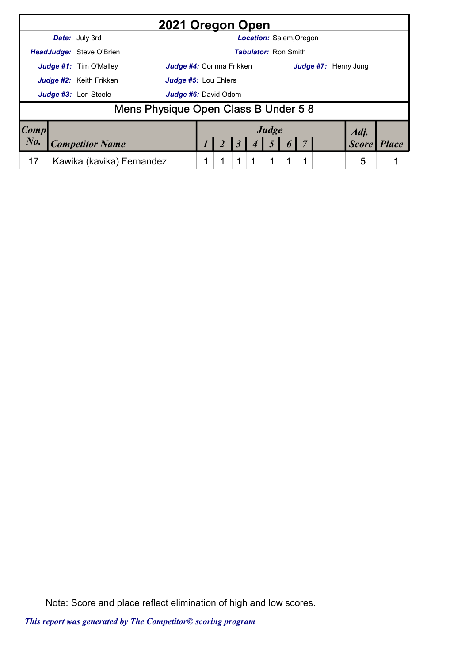|      | 2021 Oregon Open                                                  |  |   |                                |   |                      |              |              |
|------|-------------------------------------------------------------------|--|---|--------------------------------|---|----------------------|--------------|--------------|
|      | <b>Date:</b> July 3rd                                             |  |   | <b>Location: Salem, Oregon</b> |   |                      |              |              |
|      | <b>HeadJudge: Steve O'Brien</b>                                   |  |   | <b>Tabulator: Ron Smith</b>    |   |                      |              |              |
|      | <b>Judge #1:</b> Tim O'Malley<br><b>Judge #4: Corinna Frikken</b> |  |   |                                |   | Judge #7: Henry Jung |              |              |
|      | <b>Judge #2:</b> Keith Frikken<br><b>Judge #5: Lou Ehlers</b>     |  |   |                                |   |                      |              |              |
|      | Judge #3: Lori Steele<br>Judge #6: David Odom                     |  |   |                                |   |                      |              |              |
|      | Mens Physique Open Class B Under 5 8                              |  |   |                                |   |                      |              |              |
| Comp |                                                                   |  |   | Judge                          |   |                      | Adj.         |              |
| No.  | <b>Competitor Name</b>                                            |  |   |                                |   |                      | <b>Score</b> | <b>Place</b> |
| 17   | Kawika (kavika) Fernandez                                         |  | 1 | 1                              | 1 |                      | 5            |              |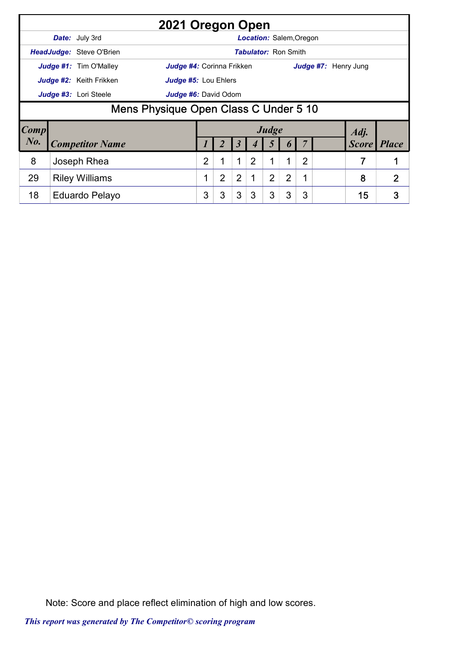|           |                                 | 2021 Oregon Open                      |   |   |                |                                |                |   |   |                      |                    |
|-----------|---------------------------------|---------------------------------------|---|---|----------------|--------------------------------|----------------|---|---|----------------------|--------------------|
|           | Date: July 3rd                  |                                       |   |   |                | <b>Location: Salem, Oregon</b> |                |   |   |                      |                    |
|           | <b>HeadJudge: Steve O'Brien</b> |                                       |   |   |                | <b>Tabulator: Ron Smith</b>    |                |   |   |                      |                    |
|           | <b>Judge #1:</b> Tim O'Malley   | <b>Judge #4:</b> Corinna Frikken      |   |   |                |                                |                |   |   | Judge #7: Henry Jung |                    |
|           | <b>Judge #2:</b> Keith Frikken  | <b>Judge #5: Lou Ehlers</b>           |   |   |                |                                |                |   |   |                      |                    |
|           | Judge #3: Lori Steele           | Judge #6: David Odom                  |   |   |                |                                |                |   |   |                      |                    |
|           |                                 | Mens Physique Open Class C Under 5 10 |   |   |                |                                |                |   |   |                      |                    |
| Comp      |                                 |                                       |   |   |                |                                | Judge          |   |   | Adj.                 |                    |
| $N_{0}$ . | <b>Competitor Name</b>          |                                       |   |   | 3              |                                |                |   |   |                      | <b>Score</b> Place |
| 8         | Joseph Rhea                     |                                       | 2 | 1 | $\mathbf 1$    | 2                              | 1              | 1 | 2 | 7                    |                    |
| 29        | <b>Riley Williams</b>           |                                       |   | 2 | $\overline{2}$ |                                | $\overline{2}$ | 2 | 1 | 8                    | $\overline{2}$     |
| 18        | Eduardo Pelayo                  |                                       | 3 | 3 | 3              | 3                              | 3              | 3 | 3 | 15                   | 3                  |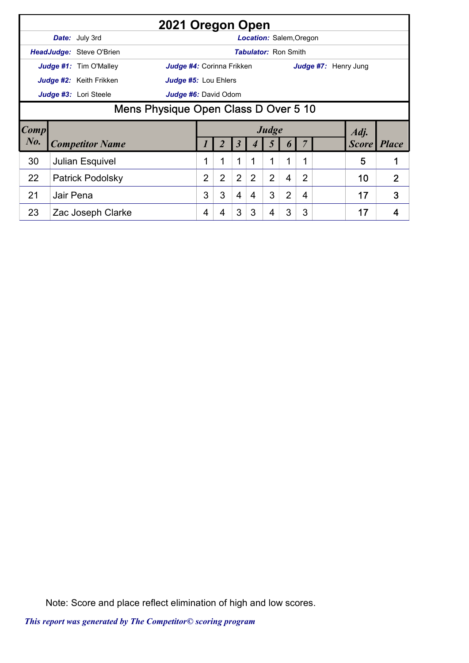|             |           | 2021 Oregon Open                                           |                |                |                |                |                                |                |                |                      |               |                |
|-------------|-----------|------------------------------------------------------------|----------------|----------------|----------------|----------------|--------------------------------|----------------|----------------|----------------------|---------------|----------------|
|             |           | <b>Date:</b> July 3rd                                      |                |                |                |                | <b>Location: Salem, Oregon</b> |                |                |                      |               |                |
|             |           | <b>HeadJudge: Steve O'Brien</b>                            |                |                |                |                | <b>Tabulator: Ron Smith</b>    |                |                |                      |               |                |
|             |           | Judge #1: Tim O'Malley<br><b>Judge #4:</b> Corinna Frikken |                |                |                |                |                                |                |                | Judge #7: Henry Jung |               |                |
|             |           | Judge #2: Keith Frikken<br><b>Judge #5: Lou Ehlers</b>     |                |                |                |                |                                |                |                |                      |               |                |
|             |           | Judge #3: Lori Steele<br><b>Judge #6:</b> David Odom       |                |                |                |                |                                |                |                |                      |               |                |
|             |           | Mens Physique Open Class D Over 5 10                       |                |                |                |                |                                |                |                |                      |               |                |
|             |           |                                                            |                |                |                |                |                                |                |                |                      |               |                |
| <b>Comp</b> |           |                                                            |                |                |                |                | Judge                          |                |                |                      |               |                |
| $N_{0}$ .   |           | <b>Competitor Name</b>                                     |                |                | 3              |                | $\mathfrak{I}$                 | 0              |                |                      | Adj.<br>Score | <b>Place</b>   |
| 30          |           | <b>Julian Esquivel</b>                                     | 1              |                | 1              |                | 1                              | 1              | 1              |                      | 5             |                |
| 22          |           | <b>Patrick Podolsky</b>                                    | $\overline{2}$ | $\overline{2}$ | $\overline{2}$ | $\overline{2}$ | $\overline{2}$                 | $\overline{4}$ | $\overline{2}$ |                      | 10            | $\overline{2}$ |
| 21          | Jair Pena |                                                            | 3              | 3              | $\overline{4}$ | 4              | 3                              | $\overline{2}$ | $\overline{4}$ |                      | 17            | 3              |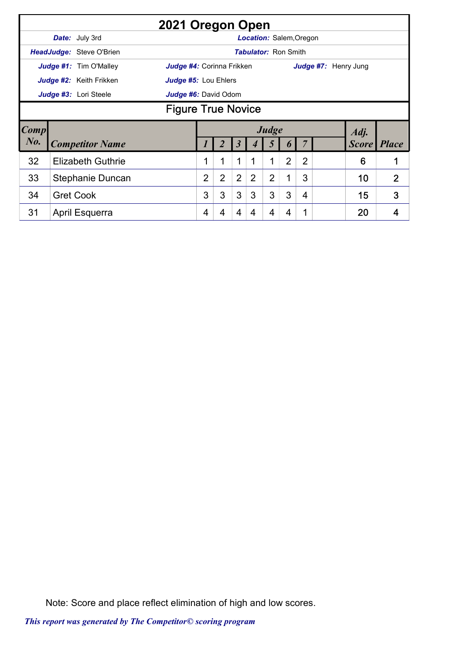|             |                           |                                 | 2021 Oregon Open          |                |                |                |                |                                |                |                |                      |              |                |  |
|-------------|---------------------------|---------------------------------|---------------------------|----------------|----------------|----------------|----------------|--------------------------------|----------------|----------------|----------------------|--------------|----------------|--|
|             |                           | <b>Date:</b> July 3rd           |                           |                |                |                |                | <b>Location: Salem, Oregon</b> |                |                |                      |              |                |  |
|             |                           | <b>HeadJudge: Steve O'Brien</b> |                           |                |                |                |                | <b>Tabulator: Ron Smith</b>    |                |                |                      |              |                |  |
|             |                           | <b>Judge #1:</b> Tim O'Malley   | Judge #4: Corinna Frikken |                |                |                |                |                                |                |                | Judge #7: Henry Jung |              |                |  |
|             |                           | Judge #2: Keith Frikken         | Judge #5: Lou Ehlers      |                |                |                |                |                                |                |                |                      |              |                |  |
|             |                           | Judge #3: Lori Steele           | Judge #6: David Odom      |                |                |                |                |                                |                |                |                      |              |                |  |
|             | <b>Figure True Novice</b> |                                 |                           |                |                |                |                |                                |                |                |                      |              |                |  |
| <b>Comp</b> |                           |                                 |                           |                |                |                |                | Judge                          |                |                |                      | Adj.         |                |  |
| $N0$ .      |                           | <b>Competitor Name</b>          |                           |                |                | 3              |                | 5                              | $\bm{b}$       |                |                      | <b>Score</b> | <b>Place</b>   |  |
| 32          |                           | <b>Elizabeth Guthrie</b>        |                           | 1              | 1              | 1              | 1              | 1                              | $\overline{2}$ | $\overline{2}$ |                      | 6            | 1              |  |
| 33          |                           | Stephanie Duncan                |                           | $\overline{2}$ | $\overline{2}$ | $\overline{2}$ | $\overline{2}$ | $\overline{2}$                 | 1              | 3              |                      | 10           | $\overline{2}$ |  |
| 34          |                           | <b>Gret Cook</b>                |                           | 3              | 3              | 3              | 3              | 3                              | 3              | 4              |                      | 15           | 3              |  |
| 31          |                           | April Esquerra                  |                           | 4              | 4              | 4              | 4              | 4                              | 4              |                |                      | 20           | 4              |  |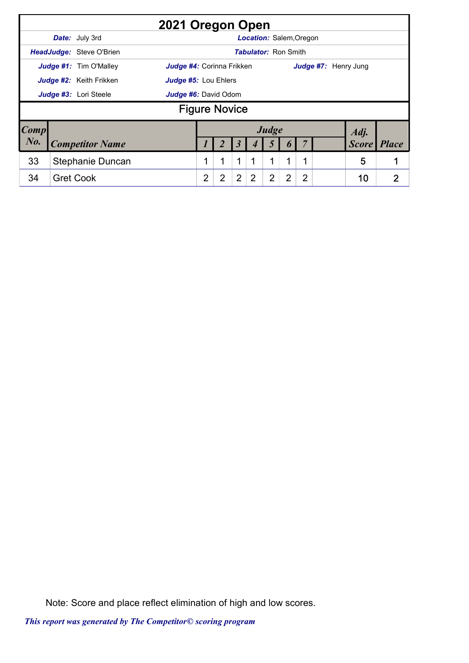|                        |                                 | 2021 Oregon Open            |                |                      |                |                                |                |   |                |                      |              |
|------------------------|---------------------------------|-----------------------------|----------------|----------------------|----------------|--------------------------------|----------------|---|----------------|----------------------|--------------|
|                        | Date: July 3rd                  |                             |                |                      |                | <b>Location: Salem, Oregon</b> |                |   |                |                      |              |
|                        | <b>HeadJudge: Steve O'Brien</b> |                             |                |                      |                | <b>Tabulator: Ron Smith</b>    |                |   |                |                      |              |
|                        | Judge #1: Tim O'Malley          | Judge #4: Corinna Frikken   |                |                      |                |                                |                |   |                | Judge #7: Henry Jung |              |
|                        | Judge #2: Keith Frikken         | <b>Judge #5: Lou Ehlers</b> |                |                      |                |                                |                |   |                |                      |              |
|                        | Judge #3: Lori Steele           | Judge #6: David Odom        |                |                      |                |                                |                |   |                |                      |              |
|                        |                                 |                             |                | <b>Figure Novice</b> |                |                                |                |   |                |                      |              |
| $\lfloor Comp \rfloor$ |                                 |                             |                |                      |                |                                | Judge          |   |                | Adj.                 |              |
| No.                    | <b>Competitor Name</b>          |                             |                |                      |                |                                |                |   |                | <b>Score</b>         | <b>Place</b> |
| 33                     | Stephanie Duncan                |                             |                | 1                    | 1              |                                | 1              | 1 |                | 5                    |              |
| 34                     | <b>Gret Cook</b>                |                             | $\overline{2}$ | 2                    | $\overline{2}$ | 2                              | $\overline{2}$ | 2 | $\overline{2}$ | 10                   | 2            |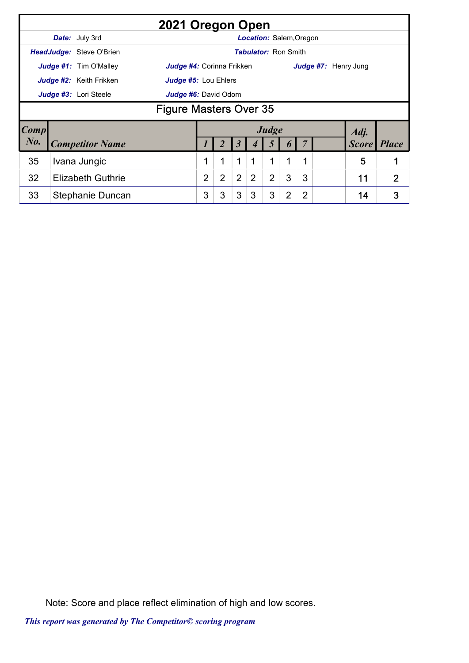|             |                                               | 2021 Oregon Open                                |                           |                |                |                                |                |                |                |  |  |                      |                |
|-------------|-----------------------------------------------|-------------------------------------------------|---------------------------|----------------|----------------|--------------------------------|----------------|----------------|----------------|--|--|----------------------|----------------|
|             |                                               | <b>Date:</b> July 3rd                           |                           |                |                | <b>Location: Salem, Oregon</b> |                |                |                |  |  |                      |                |
|             |                                               | <b>HeadJudge: Steve O'Brien</b>                 |                           |                |                | <b>Tabulator: Ron Smith</b>    |                |                |                |  |  |                      |                |
|             |                                               | Judge #1: Tim O'Malley                          | Judge #4: Corinna Frikken |                |                |                                |                |                |                |  |  | Judge #7: Henry Jung |                |
|             |                                               | Judge #2: Keith Frikken<br>Judge #5: Lou Ehlers |                           |                |                |                                |                |                |                |  |  |                      |                |
|             | Judge #3: Lori Steele<br>Judge #6: David Odom |                                                 |                           |                |                |                                |                |                |                |  |  |                      |                |
|             | <b>Figure Masters Over 35</b>                 |                                                 |                           |                |                |                                |                |                |                |  |  |                      |                |
| <b>Comp</b> |                                               |                                                 |                           |                |                |                                | Judge          |                |                |  |  | Adj.                 |                |
| $N0$ .      |                                               | <b>Competitor Name</b>                          |                           |                |                |                                |                |                |                |  |  | Score                | <b>Place</b>   |
| 35          |                                               | Ivana Jungic                                    |                           | 1              | 1              | 1                              | 1              | 1              | 1              |  |  | 5                    |                |
| 32          |                                               | <b>Elizabeth Guthrie</b>                        | 2                         | $\overline{2}$ | $\overline{2}$ | $\overline{2}$                 | $\overline{2}$ | 3              | 3              |  |  | 11                   | $\overline{2}$ |
| 33          |                                               | Stephanie Duncan                                | 3                         | 3              | 3              | 3                              | 3              | $\overline{2}$ | $\overline{2}$ |  |  | 14                   | 3              |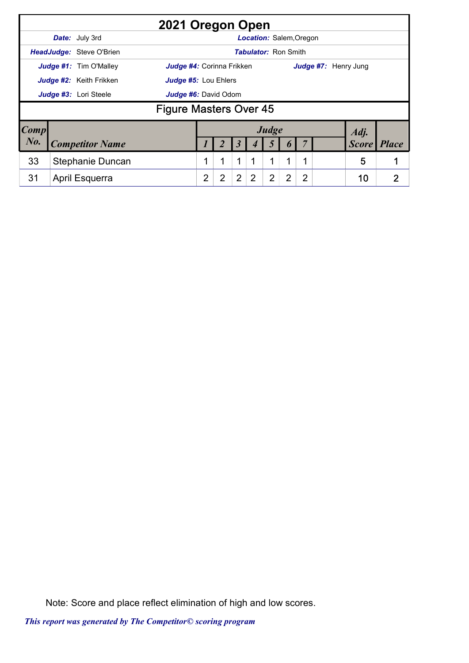|                        |                                 | 2021 Oregon Open              |   |                |   |                                |                |                  |                |                      |              |              |
|------------------------|---------------------------------|-------------------------------|---|----------------|---|--------------------------------|----------------|------------------|----------------|----------------------|--------------|--------------|
|                        | <b>Date:</b> July 3rd           |                               |   |                |   | <b>Location: Salem, Oregon</b> |                |                  |                |                      |              |              |
|                        | <b>HeadJudge: Steve O'Brien</b> |                               |   |                |   | <b>Tabulator: Ron Smith</b>    |                |                  |                |                      |              |              |
|                        | Judge #1: Tim O'Malley          | Judge #4: Corinna Frikken     |   |                |   |                                |                |                  |                | Judge #7: Henry Jung |              |              |
|                        | Judge #2: Keith Frikken         | Judge #5: Lou Ehlers          |   |                |   |                                |                |                  |                |                      |              |              |
|                        | Judge #3: Lori Steele           | Judge #6: David Odom          |   |                |   |                                |                |                  |                |                      |              |              |
|                        |                                 | <b>Figure Masters Over 45</b> |   |                |   |                                |                |                  |                |                      |              |              |
| $\lfloor Comp \rfloor$ |                                 |                               |   |                |   |                                | Judge          |                  |                |                      | Adj.         |              |
| $N0$ .                 | <b>Competitor Name</b>          |                               |   |                | 3 |                                | 5              | $\boldsymbol{0}$ |                |                      | <b>Score</b> | <i>Place</i> |
| 33                     | Stephanie Duncan                |                               |   | 1              | 1 |                                | 1              | 1                | 1              |                      | 5            |              |
| 31                     | April Esquerra                  |                               | 2 | $\overline{2}$ | 2 | 2                              | $\overline{2}$ | $\overline{2}$   | $\overline{2}$ |                      | 10           | 2            |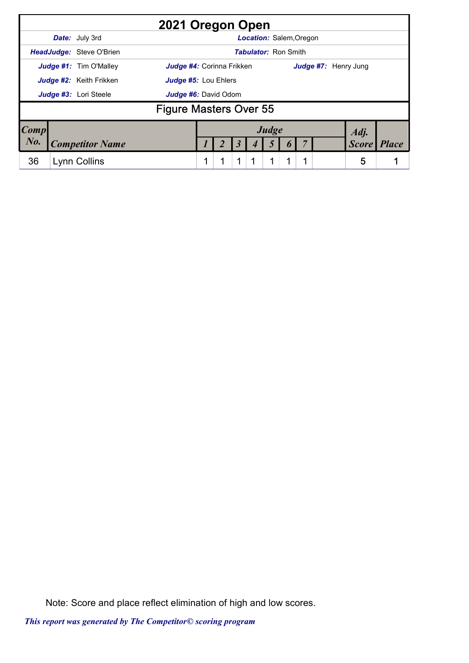|        | 2021 Oregon Open              |                           |   |                      |                                |  |                      |              |              |
|--------|-------------------------------|---------------------------|---|----------------------|--------------------------------|--|----------------------|--------------|--------------|
|        | <b>Date:</b> July 3rd         |                           |   |                      | <b>Location: Salem, Oregon</b> |  |                      |              |              |
|        | HeadJudge: Steve O'Brien      |                           |   |                      | <b>Tabulator: Ron Smith</b>    |  |                      |              |              |
|        | Judge #1: Tim O'Malley        | Judge #4: Corinna Frikken |   |                      |                                |  | Judge #7: Henry Jung |              |              |
|        | Judge #2: Keith Frikken       | Judge #5: Lou Ehlers      |   |                      |                                |  |                      |              |              |
|        | Judge #3: Lori Steele         | Judge #6: David Odom      |   |                      |                                |  |                      |              |              |
|        | <b>Figure Masters Over 55</b> |                           |   |                      |                                |  |                      |              |              |
| Comp   |                               |                           |   |                      | Judge                          |  |                      | Adj.         |              |
| $N0$ . | <b>Competitor Name</b>        |                           |   | $\boldsymbol{\beta}$ | 5                              |  |                      | <b>Score</b> | <b>Place</b> |
| 36     | Lynn Collins                  |                           | 1 | 1                    | 1                              |  |                      | 5            |              |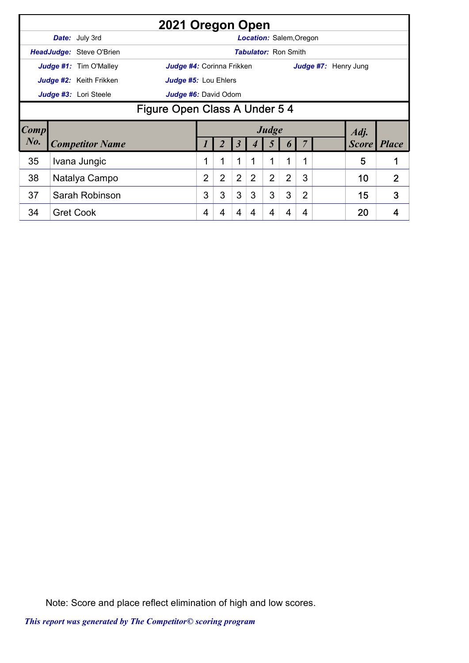|             |                               |                                 | 2021 Oregon Open                 |                |                |                |                |                                |                |                |                      |       |                |  |
|-------------|-------------------------------|---------------------------------|----------------------------------|----------------|----------------|----------------|----------------|--------------------------------|----------------|----------------|----------------------|-------|----------------|--|
|             |                               | <b>Date:</b> July 3rd           |                                  |                |                |                |                | <b>Location: Salem, Oregon</b> |                |                |                      |       |                |  |
|             |                               | <b>HeadJudge: Steve O'Brien</b> |                                  |                |                |                |                | <b>Tabulator: Ron Smith</b>    |                |                |                      |       |                |  |
|             |                               | <b>Judge #1:</b> Tim O'Malley   | <b>Judge #4:</b> Corinna Frikken |                |                |                |                |                                |                |                | Judge #7: Henry Jung |       |                |  |
|             |                               | Judge #2: Keith Frikken         | Judge #5: Lou Ehlers             |                |                |                |                |                                |                |                |                      |       |                |  |
|             |                               | Judge #3: Lori Steele           | Judge #6: David Odom             |                |                |                |                |                                |                |                |                      |       |                |  |
|             | Figure Open Class A Under 5 4 |                                 |                                  |                |                |                |                |                                |                |                |                      |       |                |  |
| <b>Comp</b> |                               |                                 |                                  |                |                |                |                | Judge                          |                |                |                      | Adj.  |                |  |
| $N_{0}$ .   |                               | <b>Competitor Name</b>          |                                  |                |                | J              |                | 5                              | $\bm{b}$       |                |                      | Score | <b>Place</b>   |  |
| 35          |                               | Ivana Jungic                    |                                  | 1              | 1              | 1              | 1              | 1                              | 1              | 1              |                      | 5     | 1              |  |
| 38          |                               | Natalya Campo                   |                                  | $\overline{2}$ | $\overline{2}$ | $\overline{2}$ | $\overline{2}$ | $\overline{2}$                 | $\overline{2}$ | 3              |                      | 10    | $\overline{2}$ |  |
| 37          |                               | Sarah Robinson                  |                                  | 3              | 3              | 3              | 3              | 3                              | 3              | $\overline{2}$ |                      | 15    | 3              |  |
| 34          |                               | <b>Gret Cook</b>                |                                  | 4              | 4              | 4              | 4              | 4                              | 4              | 4              |                      | 20    | 4              |  |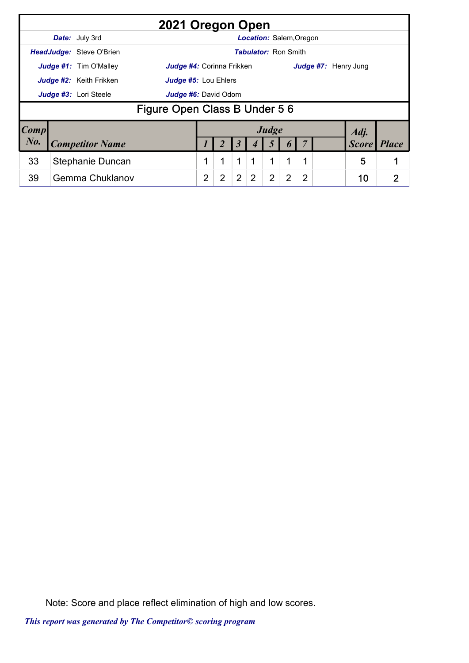|                        |                          | 2021 Oregon Open              |   |   |                |                             |       |   |                |                      |              |              |
|------------------------|--------------------------|-------------------------------|---|---|----------------|-----------------------------|-------|---|----------------|----------------------|--------------|--------------|
|                        | Date: July 3rd           |                               |   |   |                | Location: Salem, Oregon     |       |   |                |                      |              |              |
|                        | HeadJudge: Steve O'Brien |                               |   |   |                | <b>Tabulator: Ron Smith</b> |       |   |                |                      |              |              |
|                        | Judge #1: Tim O'Malley   | Judge #4: Corinna Frikken     |   |   |                |                             |       |   |                | Judge #7: Henry Jung |              |              |
|                        | Judge #2: Keith Frikken  | <b>Judge #5: Lou Ehlers</b>   |   |   |                |                             |       |   |                |                      |              |              |
|                        | Judge #3: Lori Steele    | Judge #6: David Odom          |   |   |                |                             |       |   |                |                      |              |              |
|                        |                          | Figure Open Class B Under 5 6 |   |   |                |                             |       |   |                |                      |              |              |
| $\lfloor Comp \rfloor$ |                          |                               |   |   |                |                             | Judge |   |                |                      | Adj.         |              |
| $N0$ .                 | <b>Competitor Name</b>   |                               |   |   | 3              |                             |       |   |                |                      | <b>Score</b> | <b>Place</b> |
| 33                     | Stephanie Duncan         |                               |   | 1 | 1              |                             | 1     | 1 |                |                      | 5            |              |
| 39                     | <b>Gemma Chuklanov</b>   |                               | 2 | 2 | $\overline{2}$ | 2                           | 2     | 2 | $\overline{2}$ |                      | 10           | 2            |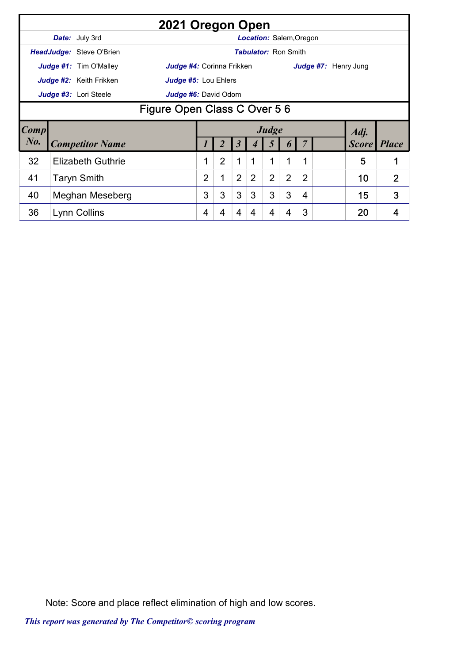|        |                             |                                 | 2021 Oregon Open                 |                |   |                |                                |                |                  |                |  |                      |                |  |
|--------|-----------------------------|---------------------------------|----------------------------------|----------------|---|----------------|--------------------------------|----------------|------------------|----------------|--|----------------------|----------------|--|
|        |                             | <b>Date:</b> July 3rd           |                                  |                |   |                | <b>Location: Salem, Oregon</b> |                |                  |                |  |                      |                |  |
|        |                             | <b>HeadJudge: Steve O'Brien</b> |                                  |                |   |                | <b>Tabulator: Ron Smith</b>    |                |                  |                |  |                      |                |  |
|        |                             | Judge #1: Tim O'Malley          | <b>Judge #4:</b> Corinna Frikken |                |   |                |                                |                |                  |                |  | Judge #7: Henry Jung |                |  |
|        |                             | Judge #2: Keith Frikken         | Judge #5: Lou Ehlers             |                |   |                |                                |                |                  |                |  |                      |                |  |
|        |                             | Judge #3: Lori Steele           | Judge #6: David Odom             |                |   |                |                                |                |                  |                |  |                      |                |  |
|        | Figure Open Class C Over 56 |                                 |                                  |                |   |                |                                |                |                  |                |  |                      |                |  |
| Comp   |                             |                                 |                                  |                |   |                |                                | Judge          |                  |                |  | Adj.                 |                |  |
| $N0$ . |                             | <b>Competitor Name</b>          |                                  |                |   | 3              |                                | $\mathfrak{I}$ | $\boldsymbol{0}$ |                |  | Score   Place        |                |  |
| 32     |                             | <b>Elizabeth Guthrie</b>        |                                  | 1              | 2 | 1              | 1                              | $\mathbf{1}$   | 1                | 1              |  | 5                    |                |  |
| 41     |                             | <b>Taryn Smith</b>              |                                  | $\overline{2}$ |   | $\overline{2}$ | $\overline{2}$                 | $\overline{2}$ | $\overline{2}$   | $\overline{2}$ |  | 10                   | $\overline{2}$ |  |
| 40     |                             | <b>Meghan Meseberg</b>          |                                  | 3              | 3 | 3              | 3                              | 3              | 3                | 4              |  | 15                   | 3              |  |
| 36     |                             | Lynn Collins                    |                                  | 4              | 4 | 4              | 4                              | 4              | 4                | 3              |  | 20                   | 4              |  |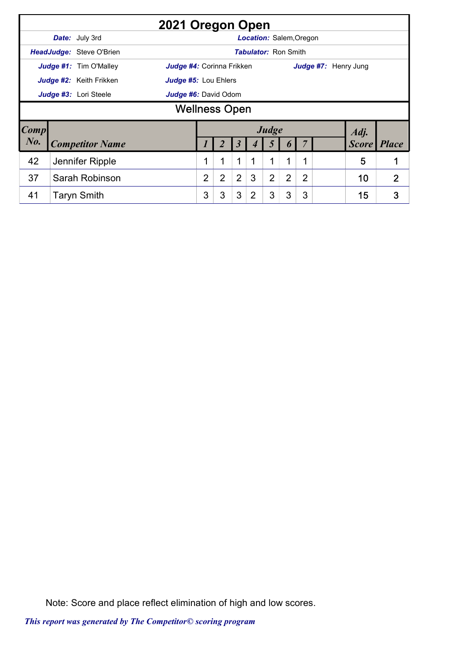|             |                                               |                                 | 2021 Oregon Open          |                |                |                |                                |                |                |                |                      |  |              |                |
|-------------|-----------------------------------------------|---------------------------------|---------------------------|----------------|----------------|----------------|--------------------------------|----------------|----------------|----------------|----------------------|--|--------------|----------------|
|             |                                               | <b>Date:</b> July 3rd           |                           |                |                |                | <b>Location: Salem, Oregon</b> |                |                |                |                      |  |              |                |
|             |                                               | <b>HeadJudge: Steve O'Brien</b> |                           |                |                |                | <b>Tabulator: Ron Smith</b>    |                |                |                |                      |  |              |                |
|             |                                               | Judge #1: Tim O'Malley          | Judge #4: Corinna Frikken |                |                |                |                                |                |                |                | Judge #7: Henry Jung |  |              |                |
|             |                                               | Judge #2: Keith Frikken         | Judge #5: Lou Ehlers      |                |                |                |                                |                |                |                |                      |  |              |                |
|             | Judge #3: Lori Steele<br>Judge #6: David Odom |                                 |                           |                |                |                |                                |                |                |                |                      |  |              |                |
|             | <b>Wellness Open</b>                          |                                 |                           |                |                |                |                                |                |                |                |                      |  |              |                |
| <b>Comp</b> |                                               |                                 |                           |                |                |                |                                | Judge          |                |                |                      |  | Adj.         |                |
| $N0$ .      |                                               | <b>Competitor Name</b>          |                           |                |                | 3              |                                |                |                |                |                      |  | <b>Score</b> | <b>Place</b>   |
| 42          |                                               | Jennifer Ripple                 |                           |                | $\mathbf{1}$   | 1              | 1                              | 1              | 1              | 1              |                      |  | 5            | 1              |
| 37          |                                               | Sarah Robinson                  |                           | $\overline{2}$ | $\overline{2}$ | $\overline{2}$ | 3                              | $\overline{2}$ | $\overline{2}$ | $\overline{2}$ |                      |  | 10           | $\overline{2}$ |
| 41          |                                               | <b>Taryn Smith</b>              |                           | 3              | 3              | 3              | $\overline{2}$                 | 3              | 3              | 3              |                      |  | 15           | 3              |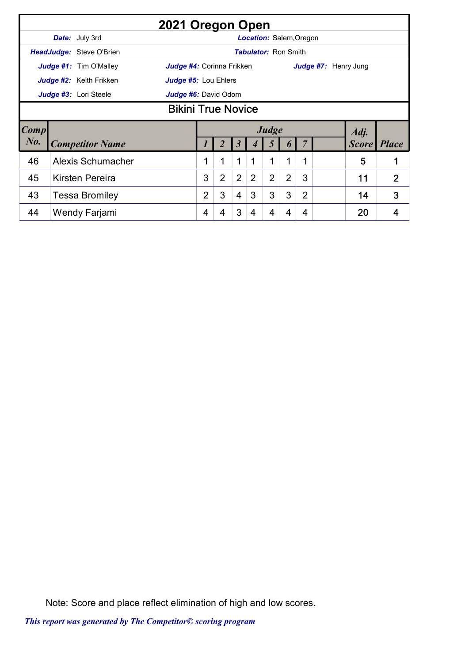|             |                           |                                 | 2021 Oregon Open          |   |                |                |                             |                |                |                |                      |              |                |  |
|-------------|---------------------------|---------------------------------|---------------------------|---|----------------|----------------|-----------------------------|----------------|----------------|----------------|----------------------|--------------|----------------|--|
|             |                           | Date: July 3rd                  |                           |   |                |                | Location: Salem, Oregon     |                |                |                |                      |              |                |  |
|             |                           | <b>HeadJudge: Steve O'Brien</b> |                           |   |                |                | <b>Tabulator: Ron Smith</b> |                |                |                |                      |              |                |  |
|             |                           | <b>Judge #1:</b> Tim O'Malley   | Judge #4: Corinna Frikken |   |                |                |                             |                |                |                | Judge #7: Henry Jung |              |                |  |
|             |                           | Judge #2: Keith Frikken         | Judge #5: Lou Ehlers      |   |                |                |                             |                |                |                |                      |              |                |  |
|             |                           | Judge #3: Lori Steele           | Judge #6: David Odom      |   |                |                |                             |                |                |                |                      |              |                |  |
|             | <b>Bikini True Novice</b> |                                 |                           |   |                |                |                             |                |                |                |                      |              |                |  |
| <b>Comp</b> |                           |                                 |                           |   |                |                |                             | Judge          |                |                |                      | Adj.         |                |  |
| $N0$ .      |                           | <b>Competitor Name</b>          |                           |   |                | 3              |                             | 5              | $\bm{b}$       |                |                      | <b>Score</b> | <b>Place</b>   |  |
| 46          |                           | Alexis Schumacher               |                           | 1 | $\mathbf 1$    | $\mathbf 1$    | 1                           | 1              | 1              | 1              |                      | 5            | 1              |  |
| 45          |                           | <b>Kirsten Pereira</b>          |                           | 3 | $\overline{2}$ | $\overline{2}$ | $\overline{2}$              | $\overline{2}$ | $\overline{2}$ | 3              |                      | 11           | $\overline{2}$ |  |
| 43          |                           | <b>Tessa Bromiley</b>           |                           | 2 | 3              | 4              | 3                           | 3              | 3              | $\overline{2}$ |                      | 14           | 3              |  |
| 44          |                           | Wendy Farjami                   |                           | 4 | 4              | 3              | 4                           | 4              | 4              | 4              |                      | 20           |                |  |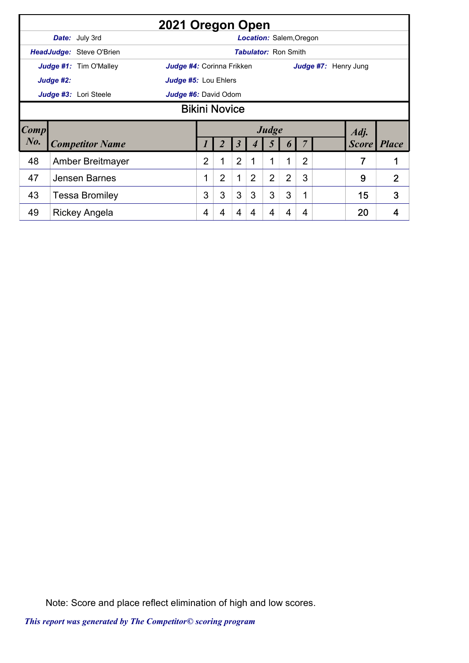|        |                      |                                 | 2021 Oregon Open            |                |                |                |                             |                |                |                |                      |              |                |  |
|--------|----------------------|---------------------------------|-----------------------------|----------------|----------------|----------------|-----------------------------|----------------|----------------|----------------|----------------------|--------------|----------------|--|
|        |                      | Date: July 3rd                  |                             |                |                |                | Location: Salem, Oregon     |                |                |                |                      |              |                |  |
|        |                      | <b>HeadJudge: Steve O'Brien</b> |                             |                |                |                | <b>Tabulator: Ron Smith</b> |                |                |                |                      |              |                |  |
|        |                      | <b>Judge #1:</b> Tim O'Malley   | Judge #4: Corinna Frikken   |                |                |                |                             |                |                |                | Judge #7: Henry Jung |              |                |  |
|        | Judge #2:            |                                 | <b>Judge #5: Lou Ehlers</b> |                |                |                |                             |                |                |                |                      |              |                |  |
|        |                      | Judge #3: Lori Steele           | Judge #6: David Odom        |                |                |                |                             |                |                |                |                      |              |                |  |
|        | <b>Bikini Novice</b> |                                 |                             |                |                |                |                             |                |                |                |                      |              |                |  |
| Comp   |                      |                                 |                             |                |                |                |                             | Judge          |                |                |                      | Adj.         |                |  |
| $N0$ . |                      | <b>Competitor Name</b>          |                             |                |                | 3              |                             | 5              | $\bm{b}$       |                |                      | <b>Score</b> | <b>Place</b>   |  |
| 48     |                      | <b>Amber Breitmayer</b>         |                             | $\overline{2}$ | $\mathbf{1}$   | $\overline{2}$ | 1                           | 1              | 1              | $\overline{2}$ |                      | 7            | 1              |  |
| 47     |                      | Jensen Barnes                   |                             | 1              | $\overline{2}$ | $\mathbf 1$    | $\overline{2}$              | $\overline{2}$ | $\overline{2}$ | 3              |                      | 9            | $\overline{2}$ |  |
| 43     |                      | <b>Tessa Bromiley</b>           |                             | 3              | 3              | 3              | 3                           | 3              | 3              | 1              |                      | 15           | 3              |  |
|        |                      |                                 |                             |                |                |                |                             |                |                |                |                      |              |                |  |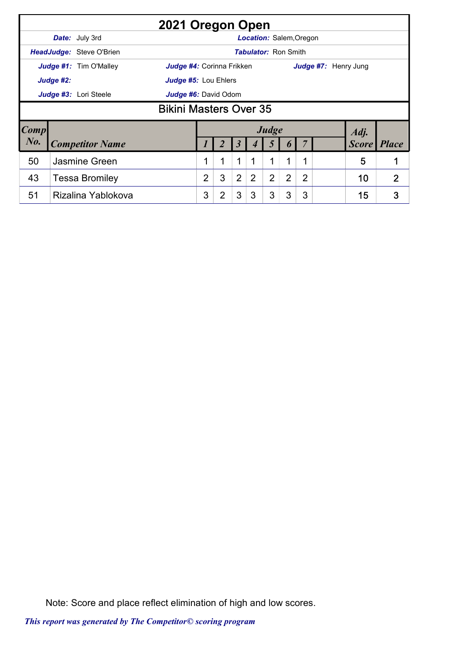|           |                                               | 2021 Oregon Open                                           |                |                |                |                |                                |                |   |  |                      |                |  |  |
|-----------|-----------------------------------------------|------------------------------------------------------------|----------------|----------------|----------------|----------------|--------------------------------|----------------|---|--|----------------------|----------------|--|--|
|           |                                               | <b>Date:</b> July 3rd                                      |                |                |                |                | <b>Location: Salem, Oregon</b> |                |   |  |                      |                |  |  |
|           |                                               | HeadJudge: Steve O'Brien                                   |                |                |                |                | <b>Tabulator: Ron Smith</b>    |                |   |  |                      |                |  |  |
|           |                                               | <b>Judge #1:</b> Tim O'Malley<br>Judge #4: Corinna Frikken |                |                |                |                |                                |                |   |  | Judge #7: Henry Jung |                |  |  |
|           | Judge #2:                                     | Judge #5: Lou Ehlers                                       |                |                |                |                |                                |                |   |  |                      |                |  |  |
|           | Judge #3: Lori Steele<br>Judge #6: David Odom |                                                            |                |                |                |                |                                |                |   |  |                      |                |  |  |
|           | <b>Bikini Masters Over 35</b>                 |                                                            |                |                |                |                |                                |                |   |  |                      |                |  |  |
| Comp      |                                               |                                                            |                |                |                |                | Judge                          |                |   |  | Adj.                 |                |  |  |
| $N_{0}$ . |                                               | <b>Competitor Name</b>                                     |                |                |                |                |                                |                |   |  | <b>Score</b>         | <i>Place</i>   |  |  |
| 50        |                                               | Jasmine Green                                              |                | 1              | 1              |                | 1                              | 1              |   |  | 5                    | 1              |  |  |
| 43        |                                               | <b>Tessa Bromiley</b>                                      | $\overline{2}$ | 3              | $\overline{2}$ | $\overline{2}$ | $\overline{2}$                 | $\overline{2}$ | 2 |  | 10                   | $\overline{2}$ |  |  |
| 51        |                                               | Rizalina Yablokova                                         | 3              | $\overline{2}$ | 3              | 3              | 3                              | 3              | 3 |  | 15                   | 3              |  |  |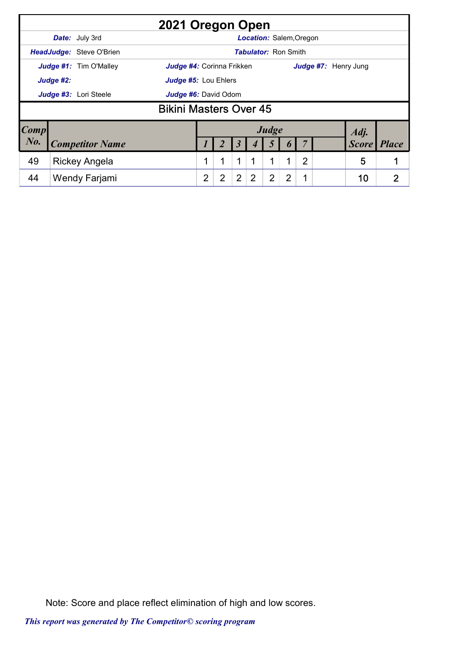|                                                            | 2021 Oregon Open                                 |                        |  |                      |   |   |                      |   |                |   |              |              |   |  |  |
|------------------------------------------------------------|--------------------------------------------------|------------------------|--|----------------------|---|---|----------------------|---|----------------|---|--------------|--------------|---|--|--|
|                                                            | Date: July 3rd<br><b>Location: Salem, Oregon</b> |                        |  |                      |   |   |                      |   |                |   |              |              |   |  |  |
| HeadJudge: Steve O'Brien<br><b>Tabulator: Ron Smith</b>    |                                                  |                        |  |                      |   |   |                      |   |                |   |              |              |   |  |  |
| <b>Judge #1:</b> Tim O'Malley<br>Judge #4: Corinna Frikken |                                                  |                        |  |                      |   |   | Judge #7: Henry Jung |   |                |   |              |              |   |  |  |
| Judge #2:                                                  |                                                  |                        |  | Judge #5: Lou Ehlers |   |   |                      |   |                |   |              |              |   |  |  |
|                                                            | Judge #3: Lori Steele<br>Judge #6: David Odom    |                        |  |                      |   |   |                      |   |                |   |              |              |   |  |  |
|                                                            | <b>Bikini Masters Over 45</b>                    |                        |  |                      |   |   |                      |   |                |   |              |              |   |  |  |
| <b>Comp</b>                                                |                                                  |                        |  |                      |   |   | Adj.                 |   |                |   |              |              |   |  |  |
| $N0$ .                                                     |                                                  | <b>Competitor Name</b> |  |                      |   |   |                      |   |                |   | <b>Score</b> | <b>Place</b> |   |  |  |
| 49                                                         |                                                  | <b>Rickey Angela</b>   |  |                      |   | 1 |                      | 1 | 1              | 2 |              | 5            |   |  |  |
| 44                                                         |                                                  | Wendy Farjami          |  | $\overline{2}$       | 2 | 2 | 2                    | 2 | $\overline{2}$ |   |              | 10           | 2 |  |  |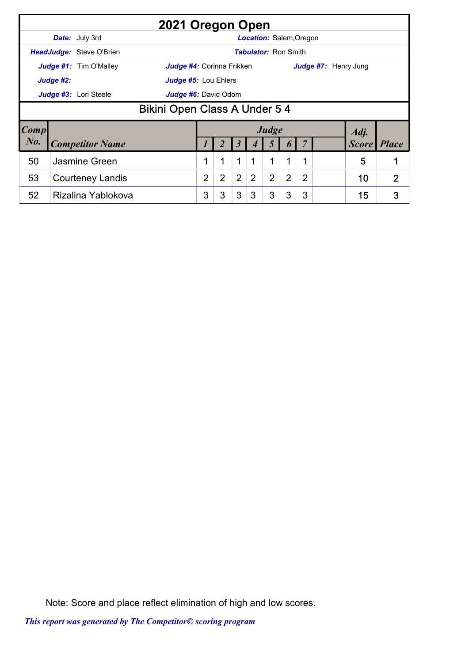| 2021 Oregon Open                              |                                                                |                         |                                                   |                      |                |                |   |       |   |   |              |              |              |  |  |
|-----------------------------------------------|----------------------------------------------------------------|-------------------------|---------------------------------------------------|----------------------|----------------|----------------|---|-------|---|---|--------------|--------------|--------------|--|--|
|                                               | <b>Location: Salem, Oregon</b><br><b>Date:</b> July 3rd        |                         |                                                   |                      |                |                |   |       |   |   |              |              |              |  |  |
|                                               | <b>HeadJudge: Steve O'Brien</b><br><b>Tabulator: Ron Smith</b> |                         |                                                   |                      |                |                |   |       |   |   |              |              |              |  |  |
| <b>Judge #1:</b> Tim O'Malley                 |                                                                |                         | Judge #4: Corinna Frikken<br>Judge #7: Henry Jung |                      |                |                |   |       |   |   |              |              |              |  |  |
| Judge #2:                                     |                                                                |                         |                                                   | Judge #5: Lou Ehlers |                |                |   |       |   |   |              |              |              |  |  |
| Judge #3: Lori Steele<br>Judge #6: David Odom |                                                                |                         |                                                   |                      |                |                |   |       |   |   |              |              |              |  |  |
|                                               | <b>Bikini Open Class A Under 5 4</b>                           |                         |                                                   |                      |                |                |   |       |   |   |              |              |              |  |  |
| $\lfloor Comp \rfloor$                        |                                                                |                         |                                                   |                      |                |                |   | Judge |   |   |              | Adj.         |              |  |  |
| $N_{0}$ .                                     |                                                                | <b>Competitor Name</b>  | 3                                                 |                      |                |                |   |       |   |   | <b>Score</b> | <i>Place</i> |              |  |  |
| 50                                            |                                                                | Jasmine Green           |                                                   |                      | 1              | $\mathbf{1}$   |   | 1     | 1 |   |              | 5            | 1            |  |  |
| 53                                            |                                                                | <b>Courteney Landis</b> |                                                   | 2                    | $\overline{2}$ | $\overline{2}$ | 2 | 2     | 2 | 2 |              | 10           | $\mathbf{2}$ |  |  |
| 52                                            |                                                                | Rizalina Yablokova      |                                                   | 3                    | 3              | 3              | 3 | 3     | 3 | 3 |              | 15           | 3            |  |  |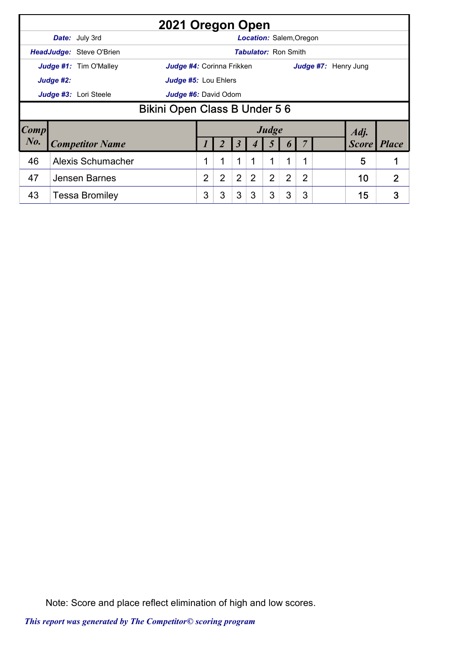| 2021 Oregon Open                                               |                               |                          |                                                          |                      |                |                |                                |                |                |                |  |              |                |  |  |
|----------------------------------------------------------------|-------------------------------|--------------------------|----------------------------------------------------------|----------------------|----------------|----------------|--------------------------------|----------------|----------------|----------------|--|--------------|----------------|--|--|
|                                                                |                               | <b>Date:</b> July 3rd    |                                                          |                      |                |                | <b>Location: Salem, Oregon</b> |                |                |                |  |              |                |  |  |
| <b>HeadJudge: Steve O'Brien</b><br><b>Tabulator: Ron Smith</b> |                               |                          |                                                          |                      |                |                |                                |                |                |                |  |              |                |  |  |
| Judge #1: Tim O'Malley                                         |                               |                          | Judge #7: Henry Jung<br><b>Judge #4:</b> Corinna Frikken |                      |                |                |                                |                |                |                |  |              |                |  |  |
| Judge #2:                                                      |                               |                          |                                                          | Judge #5: Lou Ehlers |                |                |                                |                |                |                |  |              |                |  |  |
| Judge #3: Lori Steele                                          |                               |                          |                                                          | Judge #6: David Odom |                |                |                                |                |                |                |  |              |                |  |  |
|                                                                | Bikini Open Class B Under 5 6 |                          |                                                          |                      |                |                |                                |                |                |                |  |              |                |  |  |
| Comp                                                           |                               |                          |                                                          |                      |                |                |                                | Judge          |                |                |  | Adj.         |                |  |  |
| $N_{0}$ .                                                      |                               | <b>Competitor Name</b>   | <b>Score</b>                                             |                      |                |                |                                |                |                |                |  | <i>Place</i> |                |  |  |
| 46                                                             |                               | <b>Alexis Schumacher</b> |                                                          |                      | 1              | 1              |                                | 1              | 1              | 1              |  | 5            |                |  |  |
| 47                                                             |                               | Jensen Barnes            |                                                          | $\overline{2}$       | $\overline{2}$ | $\overline{2}$ | 2                              | $\overline{2}$ | $\overline{2}$ | $\overline{2}$ |  | 10           | $\overline{2}$ |  |  |
| 43                                                             |                               | <b>Tessa Bromiley</b>    |                                                          | 3                    | 3              | 3              | 3                              | 3              | 3              | 3              |  | 15           | 3              |  |  |